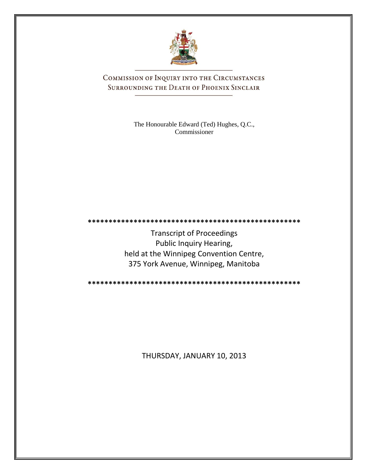

COMMISSION OF INQUIRY INTO THE CIRCUMSTANCES SURROUNDING THE DEATH OF PHOENIX SINCLAIR

> The Honourable Edward (Ted) Hughes, Q.C., Commissioner

Transcript of Proceedings Public Inquiry Hearing, held at the Winnipeg Convention Centre, 375 York Avenue, Winnipeg, Manitoba

**\*\*\*\*\*\*\*\*\*\*\*\*\*\*\*\*\*\*\*\*\*\*\*\*\*\*\*\*\*\*\*\*\*\*\*\*\*\*\*\*\*\*\*\*\*\*\*\*\*\*\***

**\*\*\*\*\*\*\*\*\*\*\*\*\*\*\*\*\*\*\*\*\*\*\*\*\*\*\*\*\*\*\*\*\*\*\*\*\*\*\*\*\*\*\*\*\*\*\*\*\*\*\***

THURSDAY, JANUARY 10, 2013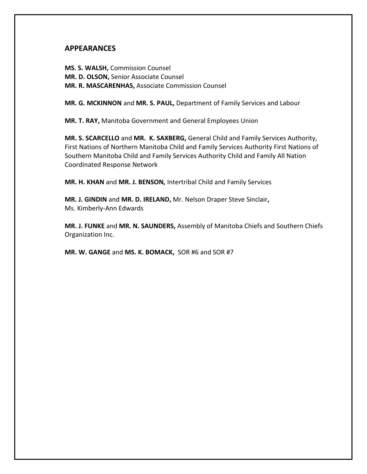## **APPEARANCES**

**MS. S. WALSH,** Commission Counsel **MR. D. OLSON,** Senior Associate Counsel **MR. R. MASCARENHAS,** Associate Commission Counsel

**MR. G. MCKINNON** and **MR. S. PAUL,** Department of Family Services and Labour

**MR. T. RAY,** Manitoba Government and General Employees Union

**MR. S. SCARCELLO** and **MR. K. SAXBERG,** General Child and Family Services Authority, First Nations of Northern Manitoba Child and Family Services Authority First Nations of Southern Manitoba Child and Family Services Authority Child and Family All Nation Coordinated Response Network

**MR. H. KHAN** and **MR. J. BENSON,** Intertribal Child and Family Services

**MR. J. GINDIN** and **MR. D. IRELAND,** Mr. Nelson Draper Steve Sinclair**,** Ms. Kimberly-Ann Edwards

**MR. J. FUNKE** and **MR. N. SAUNDERS,** Assembly of Manitoba Chiefs and Southern Chiefs Organization Inc.

**MR. W. GANGE** and **MS. K. BOMACK,** SOR #6 and SOR #7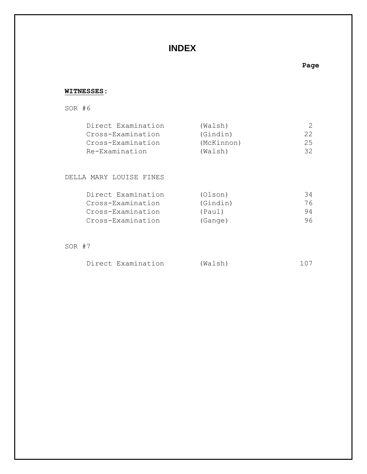# **INDEX**

### **Page**

### **WITNESSES:**

### SOR #6

| Direct Examination | (Walsh)    |     |
|--------------------|------------|-----|
| Cross-Examination  | (Gindin)   | 22. |
| Cross-Examination  | (McKinnon) | 25  |
| Re-Examination     | (Walsh)    | 32. |

#### DELLA MARY LOUISE FINES

| Direct Examination | (Olson)  | 34  |
|--------------------|----------|-----|
| Cross-Examination  | (Gindin) | 76  |
| Cross-Examination  | (Paul)   | 94  |
| Cross-Examination  | (Gange)  | 96. |

### SOR #7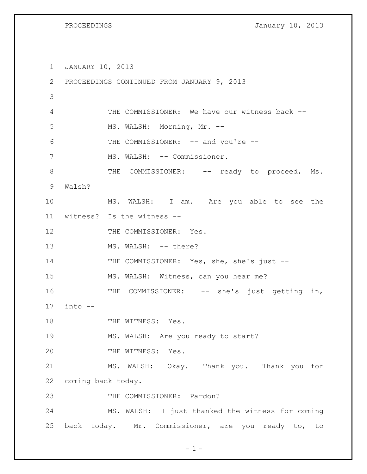PROCEEDINGS **January 10, 2013** 

1 JANUARY 10, 2013 2 PROCEEDINGS CONTINUED FROM JANUARY 9, 2013 3 4 THE COMMISSIONER: We have our witness back -- 5 MS. WALSH: Morning, Mr. --6 THE COMMISSIONER: -- and you're --7 MS. WALSH: -- Commissioner. 8 THE COMMISSIONER: -- ready to proceed, Ms. 9 Walsh? 10 MS. WALSH: I am. Are you able to see the 11 witness? Is the witness -- 12 THE COMMISSIONER: Yes. 13 MS. WALSH: -- there? 14 THE COMMISSIONER: Yes, she, she's just --15 MS. WALSH: Witness, can you hear me? 16 THE COMMISSIONER: -- she's just getting in, 17 into -- 18 THE WITNESS: Yes. 19 MS. WALSH: Are you ready to start? 20 THE WITNESS: Yes. 21 MS. WALSH: Okay. Thank you. Thank you for 22 coming back today. 23 THE COMMISSIONER: Pardon? 24 MS. WALSH: I just thanked the witness for coming 25 back today. Mr. Commissioner, are you ready to, to

 $-1 -$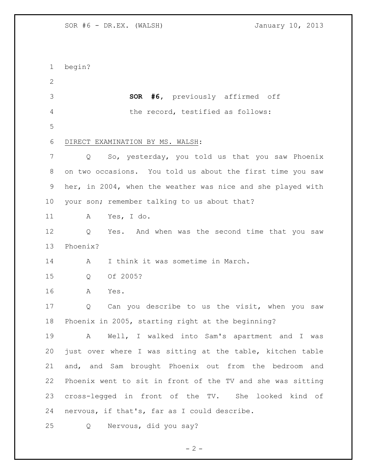begin? **SOR #6,** previously affirmed off the record, testified as follows: DIRECT EXAMINATION BY MS. WALSH: Q So, yesterday, you told us that you saw Phoenix on two occasions. You told us about the first time you saw her, in 2004, when the weather was nice and she played with your son; remember talking to us about that? A Yes, I do. Q Yes. And when was the second time that you saw Phoenix? 14 A I think it was sometime in March. Q Of 2005? A Yes. Q Can you describe to us the visit, when you saw Phoenix in 2005, starting right at the beginning? A Well, I walked into Sam's apartment and I was just over where I was sitting at the table, kitchen table and, and Sam brought Phoenix out from the bedroom and Phoenix went to sit in front of the TV and she was sitting cross-legged in front of the TV. She looked kind of nervous, if that's, far as I could describe. Q Nervous, did you say?

 $- 2 -$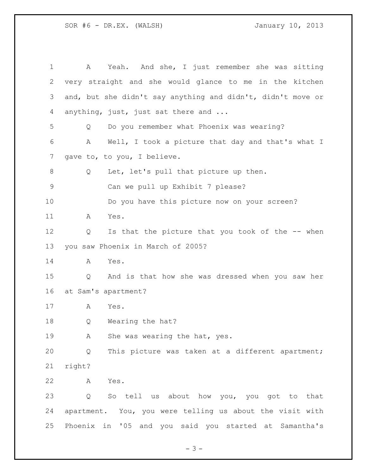A Yeah. And she, I just remember she was sitting very straight and she would glance to me in the kitchen and, but she didn't say anything and didn't, didn't move or anything, just, just sat there and ... Q Do you remember what Phoenix was wearing? A Well, I took a picture that day and that's what I 7 gave to, to you, I believe. Q Let, let's pull that picture up then. Can we pull up Exhibit 7 please? Do you have this picture now on your screen? A Yes. 12 Q Is that the picture that you took of the -- when you saw Phoenix in March of 2005? A Yes. Q And is that how she was dressed when you saw her at Sam's apartment? A Yes. Q Wearing the hat? 19 A She was wearing the hat, yes. Q This picture was taken at a different apartment; right? A Yes. Q So tell us about how you, you got to that apartment. You, you were telling us about the visit with Phoenix in '05 and you said you started at Samantha's

- 3 -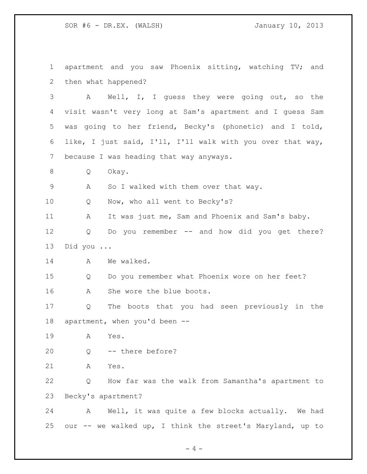apartment and you saw Phoenix sitting, watching TV; and then what happened? A Well, I, I guess they were going out, so the visit wasn't very long at Sam's apartment and I guess Sam was going to her friend, Becky's (phonetic) and I told, like, I just said, I'll, I'll walk with you over that way, because I was heading that way anyways. Q Okay. A So I walked with them over that way. Q Now, who all went to Becky's? 11 A It was just me, Sam and Phoenix and Sam's baby. Q Do you remember -- and how did you get there? Did you ... 14 A We walked. Q Do you remember what Phoenix wore on her feet? A She wore the blue boots. Q The boots that you had seen previously in the apartment, when you'd been -- A Yes. Q -- there before? A Yes. Q How far was the walk from Samantha's apartment to Becky's apartment? A Well, it was quite a few blocks actually. We had our -- we walked up, I think the street's Maryland, up to

 $-4 -$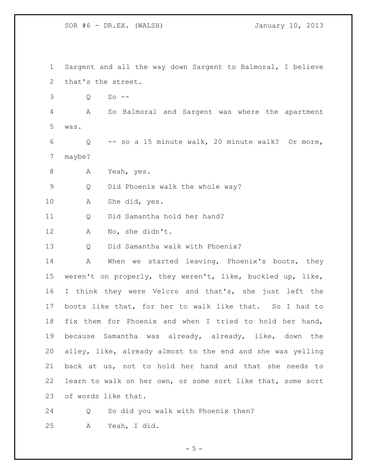Sargent and all the way down Sargent to Balmoral, I believe that's the street. Q So -- A So Balmoral and Sargent was where the apartment was. Q -- so a 15 minute walk, 20 minute walk? Or more, maybe? A Yeah, yes. Q Did Phoenix walk the whole way? A She did, yes. Q Did Samantha hold her hand? A No, she didn't. Q Did Samantha walk with Phoenix? 14 A When we started leaving, Phoenix's boots, they weren't on properly, they weren't, like, buckled up, like, I think they were Velcro and that's, she just left the boots like that, for her to walk like that. So I had to fix them for Phoenix and when I tried to hold her hand, because Samantha was already, already, like, down the alley, like, already almost to the end and she was yelling back at us, not to hold her hand and that she needs to learn to walk on her own, or some sort like that, some sort of words like that. Q So did you walk with Phoenix then?

A Yeah, I did.

 $-5 -$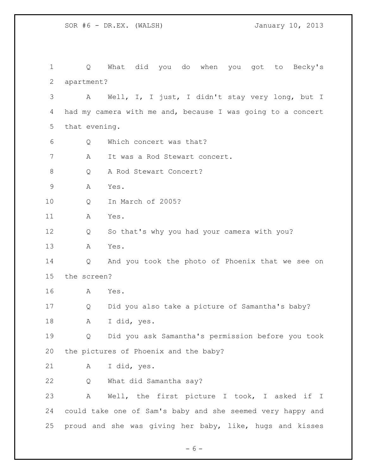Q What did you do when you got to Becky's apartment? A Well, I, I just, I didn't stay very long, but I had my camera with me and, because I was going to a concert that evening. Q Which concert was that? A It was a Rod Stewart concert. 8 Q A Rod Stewart Concert? A Yes. Q In March of 2005? A Yes. Q So that's why you had your camera with you? A Yes. Q And you took the photo of Phoenix that we see on the screen? A Yes. Q Did you also take a picture of Samantha's baby? A I did, yes. Q Did you ask Samantha's permission before you took the pictures of Phoenix and the baby? A I did, yes. Q What did Samantha say? A Well, the first picture I took, I asked if I could take one of Sam's baby and she seemed very happy and proud and she was giving her baby, like, hugs and kisses

 $- 6 -$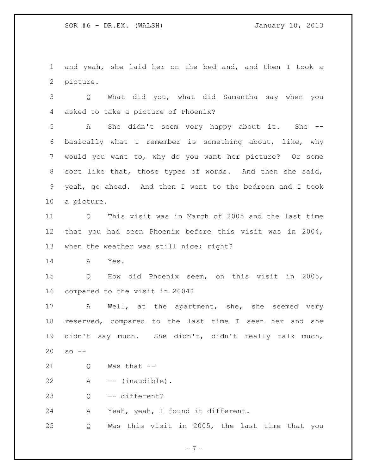and yeah, she laid her on the bed and, and then I took a picture.

 Q What did you, what did Samantha say when you asked to take a picture of Phoenix?

 A She didn't seem very happy about it. She -- basically what I remember is something about, like, why would you want to, why do you want her picture? Or some sort like that, those types of words. And then she said, yeah, go ahead. And then I went to the bedroom and I took a picture.

 Q This visit was in March of 2005 and the last time that you had seen Phoenix before this visit was in 2004, 13 when the weather was still nice; right?

A Yes.

 Q How did Phoenix seem, on this visit in 2005, compared to the visit in 2004?

 A Well, at the apartment, she, she seemed very reserved, compared to the last time I seen her and she didn't say much. She didn't, didn't really talk much, so --

Q Was that --

A -- (inaudible).

Q -- different?

A Yeah, yeah, I found it different.

Q Was this visit in 2005, the last time that you

 $-7 -$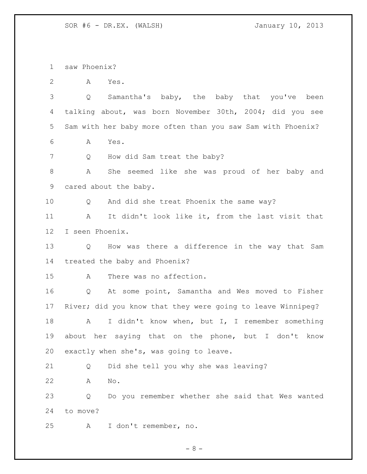saw Phoenix?

A Yes.

 Q Samantha's baby, the baby that you've been talking about, was born November 30th, 2004; did you see Sam with her baby more often than you saw Sam with Phoenix?

A Yes.

7 Q How did Sam treat the baby?

 A She seemed like she was proud of her baby and cared about the baby.

Q And did she treat Phoenix the same way?

 A It didn't look like it, from the last visit that I seen Phoenix.

 Q How was there a difference in the way that Sam treated the baby and Phoenix?

A There was no affection.

 Q At some point, Samantha and Wes moved to Fisher River; did you know that they were going to leave Winnipeg?

18 A I didn't know when, but I, I remember something about her saying that on the phone, but I don't know exactly when she's, was going to leave.

Q Did she tell you why she was leaving?

A No.

 Q Do you remember whether she said that Wes wanted to move?

A I don't remember, no.

 $- 8 -$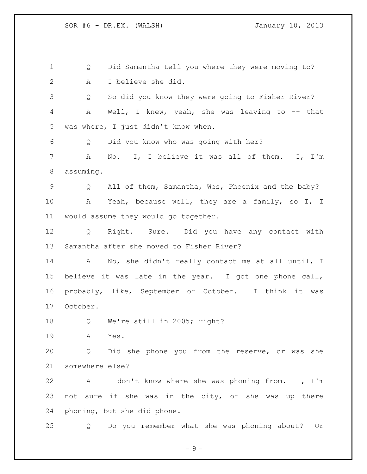Q Did Samantha tell you where they were moving to? A I believe she did. Q So did you know they were going to Fisher River? A Well, I knew, yeah, she was leaving to -- that was where, I just didn't know when. Q Did you know who was going with her? A No. I, I believe it was all of them. I, I'm assuming. Q All of them, Samantha, Wes, Phoenix and the baby? A Yeah, because well, they are a family, so I, I would assume they would go together. Q Right. Sure. Did you have any contact with Samantha after she moved to Fisher River? A No, she didn't really contact me at all until, I believe it was late in the year. I got one phone call, probably, like, September or October. I think it was October. Q We're still in 2005; right? A Yes. Q Did she phone you from the reserve, or was she somewhere else? A I don't know where she was phoning from. I, I'm not sure if she was in the city, or she was up there phoning, but she did phone. Q Do you remember what she was phoning about? Or

 $-9 -$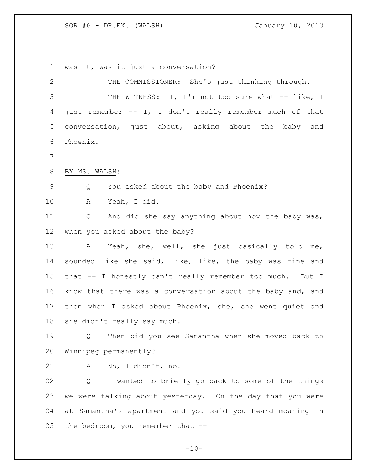was it, was it just a conversation?

| $\mathbf{2}$ | THE COMMISSIONER: She's just thinking through.             |  |  |  |  |  |  |  |  |
|--------------|------------------------------------------------------------|--|--|--|--|--|--|--|--|
| 3            | THE WITNESS: I, I'm not too sure what -- like, I           |  |  |  |  |  |  |  |  |
| 4            | just remember -- I, I don't really remember much of that   |  |  |  |  |  |  |  |  |
| 5            | conversation, just about, asking about the baby and        |  |  |  |  |  |  |  |  |
| 6            | Phoenix.                                                   |  |  |  |  |  |  |  |  |
| 7            |                                                            |  |  |  |  |  |  |  |  |
| 8            | BY MS. WALSH:                                              |  |  |  |  |  |  |  |  |
| $\mathsf 9$  | You asked about the baby and Phoenix?<br>Q                 |  |  |  |  |  |  |  |  |
| 10           | Yeah, I did.<br>A                                          |  |  |  |  |  |  |  |  |
| 11           | And did she say anything about how the baby was,<br>Q      |  |  |  |  |  |  |  |  |
| 12           | when you asked about the baby?                             |  |  |  |  |  |  |  |  |
| 13           | A Yeah, she, well, she just basically told me,             |  |  |  |  |  |  |  |  |
| 14           | sounded like she said, like, like, the baby was fine and   |  |  |  |  |  |  |  |  |
| 15           | that -- I honestly can't really remember too much. But I   |  |  |  |  |  |  |  |  |
| 16           | know that there was a conversation about the baby and, and |  |  |  |  |  |  |  |  |
| 17           | then when I asked about Phoenix, she, she went quiet and   |  |  |  |  |  |  |  |  |
| 18           | she didn't really say much.                                |  |  |  |  |  |  |  |  |
| 19           | Then did you see Samantha when she moved back to<br>Q      |  |  |  |  |  |  |  |  |
| 20           | Winnipeg permanently?                                      |  |  |  |  |  |  |  |  |
| 21           | No, I didn't, no.<br>Α                                     |  |  |  |  |  |  |  |  |
| 22           | I wanted to briefly go back to some of the things<br>Q     |  |  |  |  |  |  |  |  |
| 23           | we were talking about yesterday. On the day that you were  |  |  |  |  |  |  |  |  |
| 24           | at Samantha's apartment and you said you heard moaning in  |  |  |  |  |  |  |  |  |
| 25           | the bedroom, you remember that --                          |  |  |  |  |  |  |  |  |
|              |                                                            |  |  |  |  |  |  |  |  |

 $-10-$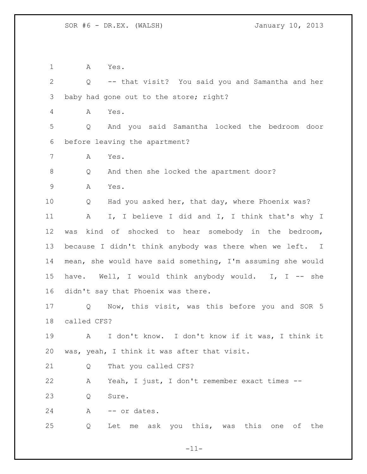A Yes.

 Q -- that visit? You said you and Samantha and her baby had gone out to the store; right?

A Yes.

 Q And you said Samantha locked the bedroom door before leaving the apartment?

A Yes.

Q And then she locked the apartment door?

A Yes.

 Q Had you asked her, that day, where Phoenix was? 11 A I, I believe I did and I, I think that's why I was kind of shocked to hear somebody in the bedroom, because I didn't think anybody was there when we left. I mean, she would have said something, I'm assuming she would 15 have. Well, I would think anybody would. I, I -- she didn't say that Phoenix was there.

 Q Now, this visit, was this before you and SOR 5 called CFS?

 A I don't know. I don't know if it was, I think it was, yeah, I think it was after that visit.

Q That you called CFS?

 A Yeah, I just, I don't remember exact times -- 23 O Sure.

24 A -- or dates.

Q Let me ask you this, was this one of the

 $-11-$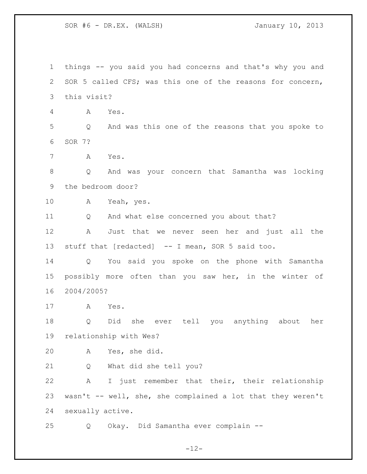things -- you said you had concerns and that's why you and SOR 5 called CFS; was this one of the reasons for concern, this visit? A Yes. Q And was this one of the reasons that you spoke to SOR 7? A Yes. Q And was your concern that Samantha was locking the bedroom door? A Yeah, yes. Q And what else concerned you about that? A Just that we never seen her and just all the stuff that [redacted] -- I mean, SOR 5 said too. Q You said you spoke on the phone with Samantha possibly more often than you saw her, in the winter of 2004/2005? A Yes. Q Did she ever tell you anything about her relationship with Wes? A Yes, she did. Q What did she tell you? A I just remember that their, their relationship wasn't -- well, she, she complained a lot that they weren't sexually active. Q Okay. Did Samantha ever complain --

 $-12-$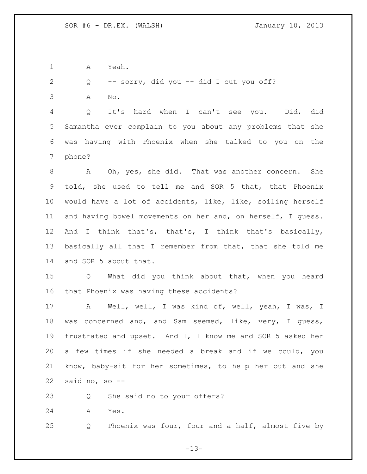A Yeah.

Q -- sorry, did you -- did I cut you off?

A No.

 Q It's hard when I can't see you. Did, did Samantha ever complain to you about any problems that she was having with Phoenix when she talked to you on the phone?

 A Oh, yes, she did. That was another concern. She told, she used to tell me and SOR 5 that, that Phoenix would have a lot of accidents, like, like, soiling herself and having bowel movements on her and, on herself, I guess. 12 And I think that's, that's, I think that's basically, basically all that I remember from that, that she told me and SOR 5 about that.

 Q What did you think about that, when you heard that Phoenix was having these accidents?

 A Well, well, I was kind of, well, yeah, I was, I was concerned and, and Sam seemed, like, very, I guess, frustrated and upset. And I, I know me and SOR 5 asked her a few times if she needed a break and if we could, you know, baby-sit for her sometimes, to help her out and she said no, so --

Q She said no to your offers?

A Yes.

Q Phoenix was four, four and a half, almost five by

 $-13-$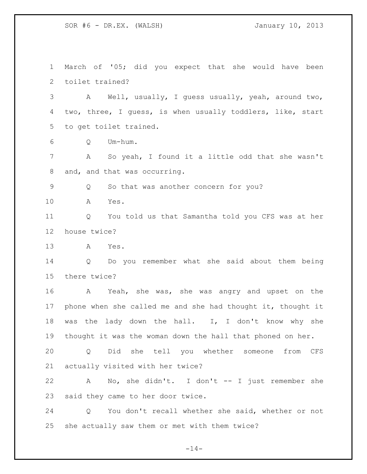March of '05; did you expect that she would have been toilet trained? A Well, usually, I guess usually, yeah, around two, two, three, I guess, is when usually toddlers, like, start to get toilet trained. Q Um-hum. A So yeah, I found it a little odd that she wasn't and, and that was occurring. Q So that was another concern for you? A Yes. Q You told us that Samantha told you CFS was at her house twice? A Yes. Q Do you remember what she said about them being there twice? A Yeah, she was, she was angry and upset on the phone when she called me and she had thought it, thought it was the lady down the hall. I, I don't know why she thought it was the woman down the hall that phoned on her. Q Did she tell you whether someone from CFS actually visited with her twice? A No, she didn't. I don't -- I just remember she said they came to her door twice. Q You don't recall whether she said, whether or not

she actually saw them or met with them twice?

 $-14-$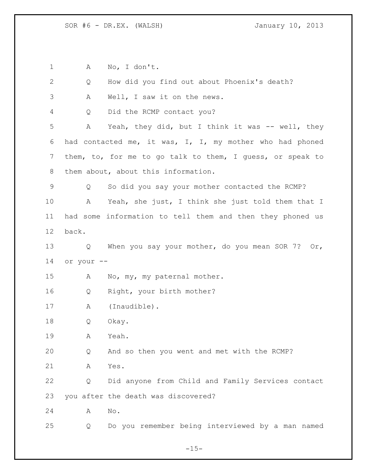A No, I don't.

| 2  | Q          | How did you find out about Phoenix's death?               |
|----|------------|-----------------------------------------------------------|
| 3  | Α          | Well, I saw it on the news.                               |
| 4  | Q          | Did the RCMP contact you?                                 |
| 5  | Α          | Yeah, they did, but I think it was -- well, they          |
| 6  |            | had contacted me, it was, I, I, my mother who had phoned  |
| 7  |            | them, to, for me to go talk to them, I guess, or speak to |
| 8  |            | them about, about this information.                       |
| 9  | Q          | So did you say your mother contacted the RCMP?            |
| 10 | А          | Yeah, she just, I think she just told them that I         |
| 11 |            | had some information to tell them and then they phoned us |
| 12 | back.      |                                                           |
| 13 | Q          | When you say your mother, do you mean SOR 7? Or,          |
| 14 | or your -- |                                                           |
| 15 | Α          | No, my, my paternal mother.                               |
| 16 | Q          | Right, your birth mother?                                 |
| 17 | Α          | (Inaudible).                                              |
| 18 | Q          | Okay.                                                     |
| 19 | Α          | Yeah.                                                     |
| 20 | Q          | And so then you went and met with the RCMP?               |
| 21 | Α          | Yes.                                                      |
| 22 | Q          | Did anyone from Child and Family Services contact         |
| 23 |            | you after the death was discovered?                       |
| 24 | Α          | No.                                                       |
| 25 | Q          | Do you remember being interviewed by a man named          |

 $-15-$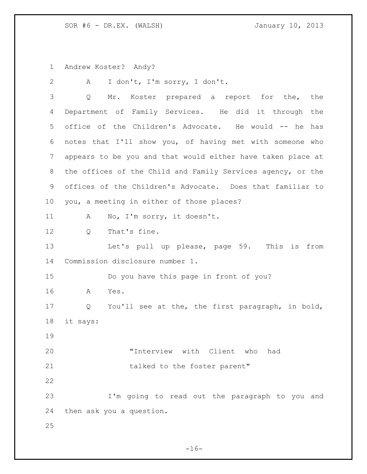Andrew Koster? Andy?

 A I don't, I'm sorry, I don't. Q Mr. Koster prepared a report for the, the Department of Family Services. He did it through the office of the Children's Advocate. He would -- he has notes that I'll show you, of having met with someone who appears to be you and that would either have taken place at the offices of the Child and Family Services agency, or the offices of the Children's Advocate. Does that familiar to you, a meeting in either of those places? 11 A No, I'm sorry, it doesn't. 12 0 That's fine. Let's pull up please, page 59. This is from Commission disclosure number 1. Do you have this page in front of you? A Yes. Q You'll see at the, the first paragraph, in bold, it says: "Interview with Client who had 21 talked to the foster parent" I'm going to read out the paragraph to you and then ask you a question. 

 $-16-$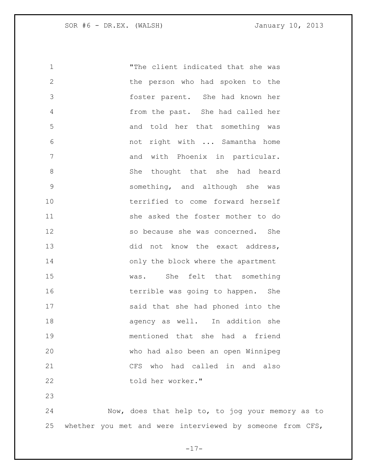| 1            | "The client indicated that she was |
|--------------|------------------------------------|
| $\mathbf{2}$ | the person who had spoken to the   |
| 3            | foster parent. She had known her   |
| 4            | from the past. She had called her  |
| 5            | and told her that something was    |
| 6            | not right with  Samantha home      |
| 7            | and with Phoenix in particular.    |
| 8            | She thought that she had heard     |
| $\mathsf 9$  | something, and although she was    |
| 10           | terrified to come forward herself  |
| 11           | she asked the foster mother to do  |
| 12           | so because she was concerned. She  |
| 13           | did not know the exact address,    |
| 14           | only the block where the apartment |
| 15           | was. She felt that something       |
| 16           | terrible was going to happen. She  |
| 17           | said that she had phoned into the  |
| 18           | agency as well. In addition she    |
| 19           | mentioned that she had a friend    |
| 20           | who had also been an open Winnipeg |
| 21           | CFS who had called in and<br>also  |
| 22           | told her worker."                  |
| 23           |                                    |
|              |                                    |

 Now, does that help to, to jog your memory as to whether you met and were interviewed by someone from CFS,

 $-17-$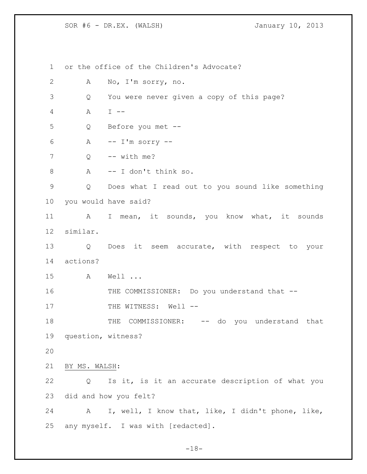or the office of the Children's Advocate? A No, I'm sorry, no. Q You were never given a copy of this page? A I -- Q Before you met -- A  $-$  I'm sorry  $-$  Q  $-$  with me? A -- I don't think so. Q Does what I read out to you sound like something you would have said? 11 A I mean, it sounds, you know what, it sounds similar. Q Does it seem accurate, with respect to your actions? A Well ... 16 THE COMMISSIONER: Do you understand that --17 THE WITNESS: Well --18 THE COMMISSIONER: -- do you understand that question, witness? BY MS. WALSH: Q Is it, is it an accurate description of what you did and how you felt? A I, well, I know that, like, I didn't phone, like, any myself. I was with [redacted].

 $-18-$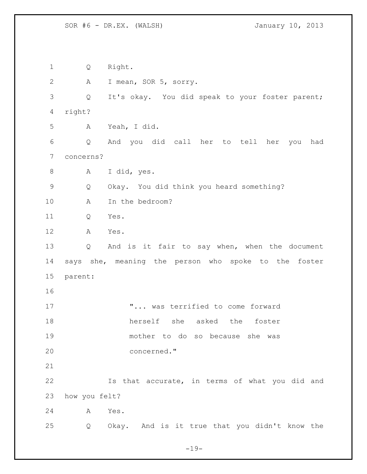Q Right. A I mean, SOR 5, sorry. Q It's okay. You did speak to your foster parent; right? A Yeah, I did. Q And you did call her to tell her you had concerns? A I did, yes. Q Okay. You did think you heard something? A In the bedroom? Q Yes. A Yes. Q And is it fair to say when, when the document says she, meaning the person who spoke to the foster parent: **...** was terrified to come forward herself she asked the foster mother to do so because she was concerned." Is that accurate, in terms of what you did and how you felt? A Yes. Q Okay. And is it true that you didn't know the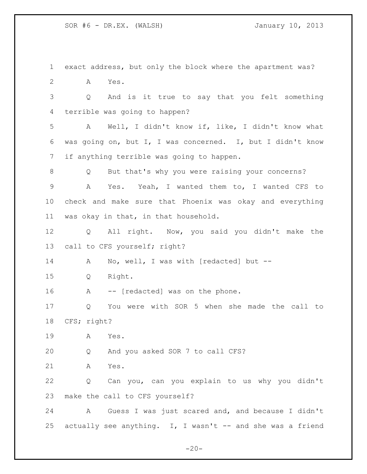exact address, but only the block where the apartment was? A Yes. Q And is it true to say that you felt something terrible was going to happen? A Well, I didn't know if, like, I didn't know what was going on, but I, I was concerned. I, but I didn't know if anything terrible was going to happen. Q But that's why you were raising your concerns? A Yes. Yeah, I wanted them to, I wanted CFS to check and make sure that Phoenix was okay and everything was okay in that, in that household. Q All right. Now, you said you didn't make the call to CFS yourself; right? 14 A No, well, I was with [redacted] but -- Q Right. 16 A -- [redacted] was on the phone. Q You were with SOR 5 when she made the call to CFS; right? A Yes. Q And you asked SOR 7 to call CFS? A Yes. Q Can you, can you explain to us why you didn't make the call to CFS yourself? A Guess I was just scared and, and because I didn't 25 actually see anything. I, I wasn't  $-$  and she was a friend

 $-20-$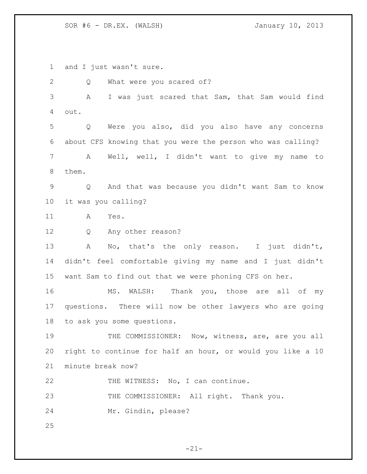and I just wasn't sure.

 Q What were you scared of? A I was just scared that Sam, that Sam would find out. Q Were you also, did you also have any concerns about CFS knowing that you were the person who was calling? A Well, well, I didn't want to give my name to them. Q And that was because you didn't want Sam to know it was you calling? A Yes. Q Any other reason? A No, that's the only reason. I just didn't, didn't feel comfortable giving my name and I just didn't want Sam to find out that we were phoning CFS on her. 16 MS. WALSH: Thank you, those are all of my questions. There will now be other lawyers who are going to ask you some questions. 19 THE COMMISSIONER: Now, witness, are, are you all right to continue for half an hour, or would you like a 10 minute break now? 22 THE WITNESS: No, I can continue. 23 THE COMMISSIONER: All right. Thank you. Mr. Gindin, please? 

 $-21-$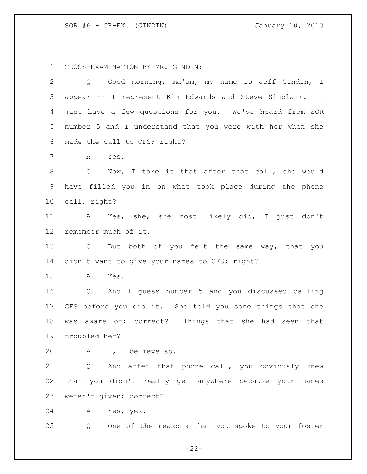SOR #6 - CR-EX. (GINDIN) January 10, 2013

CROSS-EXAMINATION BY MR. GINDIN:

| 2               | Q Good morning, ma'am, my name is Jeff Gindin, I                    |
|-----------------|---------------------------------------------------------------------|
| 3               | appear -- I represent Kim Edwards and Steve Sinclair. I             |
| 4               | just have a few questions for you. We've heard from SOR             |
| 5               | number 5 and I understand that you were with her when she           |
| 6               | made the call to CFS; right?                                        |
| 7               | Yes.<br>A                                                           |
| 8               | Now, I take it that after that call, she would<br>$Q \qquad \qquad$ |
| 9               | have filled you in on what took place during the phone              |
| 10 <sub>o</sub> | call; right?                                                        |
| 11              | A Yes, she, she most likely did, I just don't                       |
| 12              | remember much of it.                                                |
| 13              | Q But both of you felt the same way, that you                       |
| 14              | didn't want to give your names to CFS; right?                       |
| 15              | A<br>Yes.                                                           |
| 16              | And I guess number 5 and you discussed calling<br>Q                 |
| 17              | CFS before you did it. She told you some things that she            |
| 18              | aware of; correct? Things that she had seen that<br>was             |
| 19              | troubled her?                                                       |
| 20              | A I, I believe so.                                                  |
| 21              | Q And after that phone call, you obviously knew                     |
| 22              | that you didn't really get anywhere because your names              |
| 23              | weren't given; correct?                                             |
| 24              | Α<br>Yes, yes.                                                      |
| 25              | One of the reasons that you spoke to your foster<br>Q               |

 $-22-$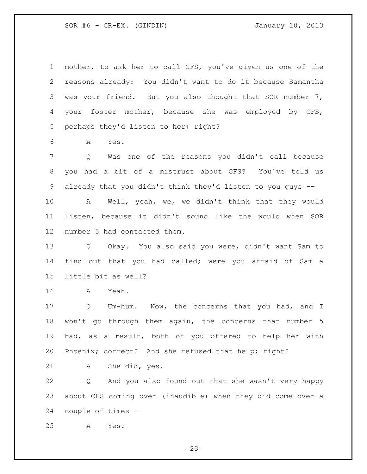SOR #6 - CR-EX. (GINDIN) January 10, 2013

 mother, to ask her to call CFS, you've given us one of the reasons already: You didn't want to do it because Samantha was your friend. But you also thought that SOR number 7, your foster mother, because she was employed by CFS, perhaps they'd listen to her; right?

A Yes.

 Q Was one of the reasons you didn't call because you had a bit of a mistrust about CFS? You've told us already that you didn't think they'd listen to you guys --

 A Well, yeah, we, we didn't think that they would listen, because it didn't sound like the would when SOR number 5 had contacted them.

 Q Okay. You also said you were, didn't want Sam to find out that you had called; were you afraid of Sam a little bit as well?

A Yeah.

 Q Um-hum. Now, the concerns that you had, and I won't go through them again, the concerns that number 5 had, as a result, both of you offered to help her with Phoenix; correct? And she refused that help; right?

A She did, yes.

 Q And you also found out that she wasn't very happy about CFS coming over (inaudible) when they did come over a couple of times --

A Yes.

 $-23-$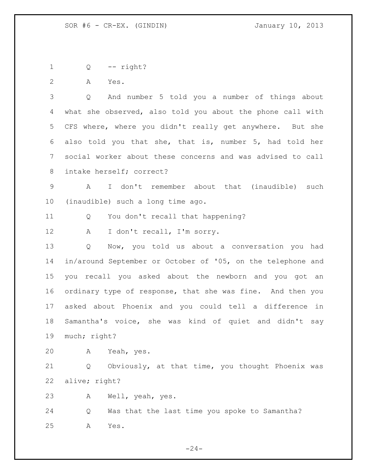Q -- right?

A Yes.

 Q And number 5 told you a number of things about what she observed, also told you about the phone call with CFS where, where you didn't really get anywhere. But she also told you that she, that is, number 5, had told her social worker about these concerns and was advised to call intake herself; correct?

 A I don't remember about that (inaudible) such (inaudible) such a long time ago.

Q You don't recall that happening?

A I don't recall, I'm sorry.

 Q Now, you told us about a conversation you had in/around September or October of '05, on the telephone and you recall you asked about the newborn and you got an ordinary type of response, that she was fine. And then you asked about Phoenix and you could tell a difference in Samantha's voice, she was kind of quiet and didn't say much; right?

A Yeah, yes.

 Q Obviously, at that time, you thought Phoenix was alive; right?

A Well, yeah, yes.

 Q Was that the last time you spoke to Samantha? A Yes.

 $-24-$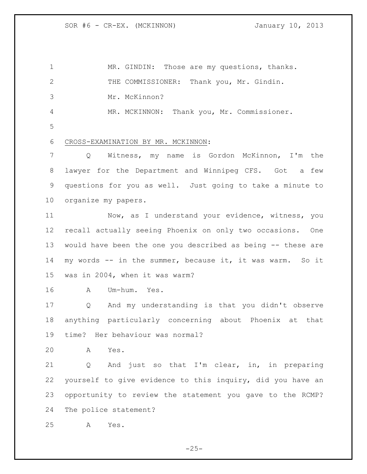1 MR. GINDIN: Those are my questions, thanks. THE COMMISSIONER: Thank you, Mr. Gindin. Mr. McKinnon? MR. MCKINNON: Thank you, Mr. Commissioner. CROSS-EXAMINATION BY MR. MCKINNON: Q Witness, my name is Gordon McKinnon, I'm the lawyer for the Department and Winnipeg CFS. Got a few questions for you as well. Just going to take a minute to organize my papers. Now, as I understand your evidence, witness, you recall actually seeing Phoenix on only two occasions. One would have been the one you described as being -- these are my words -- in the summer, because it, it was warm. So it was in 2004, when it was warm? A Um-hum. Yes. Q And my understanding is that you didn't observe anything particularly concerning about Phoenix at that time? Her behaviour was normal? A Yes. Q And just so that I'm clear, in, in preparing yourself to give evidence to this inquiry, did you have an opportunity to review the statement you gave to the RCMP? The police statement? A Yes.

 $-25-$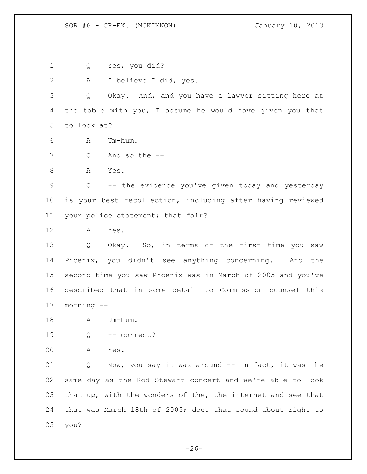SOR #6 - CR-EX. (MCKINNON) January 10, 2013

Q Yes, you did?

A I believe I did, yes.

 Q Okay. And, and you have a lawyer sitting here at the table with you, I assume he would have given you that to look at?

- A Um-hum.
- Q And so the --
- A Yes.

 Q -- the evidence you've given today and yesterday is your best recollection, including after having reviewed your police statement; that fair?

A Yes.

 Q Okay. So, in terms of the first time you saw Phoenix, you didn't see anything concerning. And the second time you saw Phoenix was in March of 2005 and you've described that in some detail to Commission counsel this morning --

18 A Um-hum.

Q -- correct?

A Yes.

 Q Now, you say it was around -- in fact, it was the same day as the Rod Stewart concert and we're able to look that up, with the wonders of the, the internet and see that that was March 18th of 2005; does that sound about right to you?

 $-26-$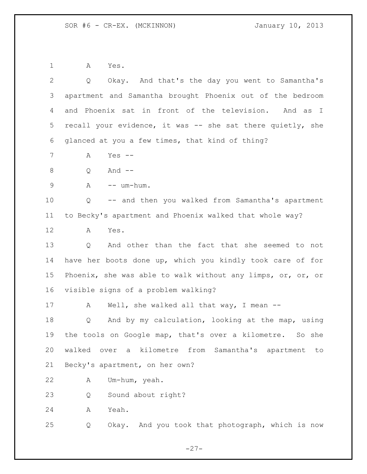A Yes.

| $\mathbf{2}$    | Okay. And that's the day you went to Samantha's<br>Q        |
|-----------------|-------------------------------------------------------------|
| 3               | apartment and Samantha brought Phoenix out of the bedroom   |
| 4               | and Phoenix sat in front of the television. And as I        |
| 5               | recall your evidence, it was -- she sat there quietly, she  |
| 6               | glanced at you a few times, that kind of thing?             |
| 7               | Yes $--$<br>А                                               |
| 8               | And $--$<br>Q                                               |
| 9               | $\mathbb{A}$<br>-- um-hum.                                  |
| 10              | -- and then you walked from Samantha's apartment<br>Q       |
| 11              | to Becky's apartment and Phoenix walked that whole way?     |
| 12              | A<br>Yes.                                                   |
| 13              | And other than the fact that she seemed to not<br>Q         |
| 14              | have her boots done up, which you kindly took care of for   |
| 15 <sub>2</sub> | Phoenix, she was able to walk without any limps, or, or, or |
| 16              | visible signs of a problem walking?                         |
| 17              | Well, she walked all that way, I mean $-$<br>A              |
| 18              | And by my calculation, looking at the map, using<br>Q       |
| 19              | the tools on Google map, that's over a kilometre. So she    |
| 20              | walked over a kilometre from Samantha's apartment to        |
| 21              | Becky's apartment, on her own?                              |
| 22              | Um-hum, yeah.<br>Α                                          |
| 23              | Sound about right?<br>Q                                     |
| 24              | Yeah.<br>Α                                                  |
| 25              | Okay. And you took that photograph, which is now<br>Q       |
|                 |                                                             |

 $-27-$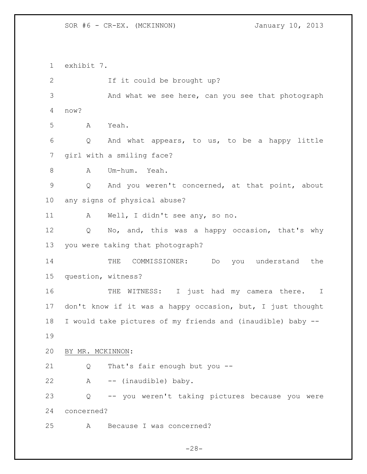SOR #6 - CR-EX. (MCKINNON) January 10, 2013

 exhibit 7. If it could be brought up? And what we see here, can you see that photograph now? A Yeah. Q And what appears, to us, to be a happy little girl with a smiling face? A Um-hum. Yeah. Q And you weren't concerned, at that point, about any signs of physical abuse? A Well, I didn't see any, so no. 12 Q No, and, this was a happy occasion, that's why you were taking that photograph? THE COMMISSIONER: Do you understand the question, witness? 16 THE WITNESS: I just had my camera there. I don't know if it was a happy occasion, but, I just thought I would take pictures of my friends and (inaudible) baby -- BY MR. MCKINNON: Q That's fair enough but you -- A -- (inaudible) baby. Q -- you weren't taking pictures because you were concerned? A Because I was concerned?

 $-28-$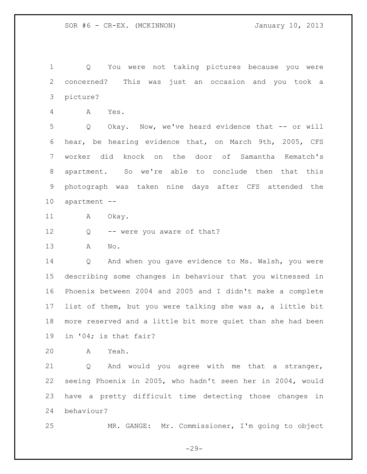Q You were not taking pictures because you were concerned? This was just an occasion and you took a picture?

A Yes.

5 Q Okay. Now, we've heard evidence that -- or will hear, be hearing evidence that, on March 9th, 2005, CFS worker did knock on the door of Samantha Kematch's apartment. So we're able to conclude then that this photograph was taken nine days after CFS attended the apartment --

11 A Okay.

12 Q -- were you aware of that?

A No.

 Q And when you gave evidence to Ms. Walsh, you were describing some changes in behaviour that you witnessed in Phoenix between 2004 and 2005 and I didn't make a complete list of them, but you were talking she was a, a little bit more reserved and a little bit more quiet than she had been in '04; is that fair?

A Yeah.

 Q And would you agree with me that a stranger, seeing Phoenix in 2005, who hadn't seen her in 2004, would have a pretty difficult time detecting those changes in behaviour?

MR. GANGE: Mr. Commissioner, I'm going to object

 $-29-$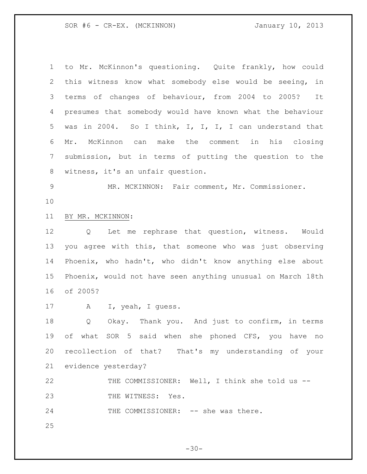SOR #6 - CR-EX. (MCKINNON) January 10, 2013

 to Mr. McKinnon's questioning. Quite frankly, how could this witness know what somebody else would be seeing, in terms of changes of behaviour, from 2004 to 2005? It presumes that somebody would have known what the behaviour was in 2004. So I think, I, I, I, I can understand that Mr. McKinnon can make the comment in his closing submission, but in terms of putting the question to the witness, it's an unfair question. MR. MCKINNON: Fair comment, Mr. Commissioner. BY MR. MCKINNON: Q Let me rephrase that question, witness. Would you agree with this, that someone who was just observing Phoenix, who hadn't, who didn't know anything else about Phoenix, would not have seen anything unusual on March 18th of 2005? A I, yeah, I guess. Q Okay. Thank you. And just to confirm, in terms

 of what SOR 5 said when she phoned CFS, you have no recollection of that? That's my understanding of your evidence yesterday?

 THE COMMISSIONER: Well, I think she told us -- 23 THE WITNESS: Yes.

24 THE COMMISSIONER: -- she was there.

 $-30-$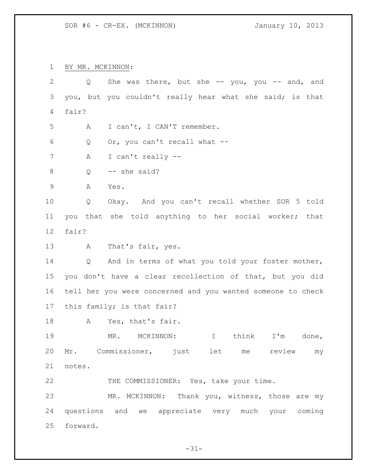BY MR. MCKINNON:

| $\overline{2}$  |                                                             | Q |     |  |                   | She was there, but she $-$ you, you $-$ and, and         |  |         |  |  |           |    |
|-----------------|-------------------------------------------------------------|---|-----|--|-------------------|----------------------------------------------------------|--|---------|--|--|-----------|----|
| 3               |                                                             |   |     |  |                   | you, but you couldn't really hear what she said; is that |  |         |  |  |           |    |
| 4               | fair?                                                       |   |     |  |                   |                                                          |  |         |  |  |           |    |
| 5               | I can't, I CAN'T remember.<br>А                             |   |     |  |                   |                                                          |  |         |  |  |           |    |
| 6               | Q<br>Or, you can't recall what --                           |   |     |  |                   |                                                          |  |         |  |  |           |    |
| $7\phantom{.0}$ | I can't really --<br>Α                                      |   |     |  |                   |                                                          |  |         |  |  |           |    |
| 8               | -- she said?<br>Q                                           |   |     |  |                   |                                                          |  |         |  |  |           |    |
| $\overline{9}$  | Α<br>Yes.                                                   |   |     |  |                   |                                                          |  |         |  |  |           |    |
| 10              | Okay. And you can't recall whether SOR 5 told<br>Q          |   |     |  |                   |                                                          |  |         |  |  |           |    |
| 11              |                                                             |   |     |  |                   | you that she told anything to her social worker; that    |  |         |  |  |           |    |
| 12 <sup>°</sup> | fair?                                                       |   |     |  |                   |                                                          |  |         |  |  |           |    |
| 13              |                                                             | Α |     |  | That's fair, yes. |                                                          |  |         |  |  |           |    |
| 14              | Q And in terms of what you told your foster mother,         |   |     |  |                   |                                                          |  |         |  |  |           |    |
| 15              | you don't have a clear recollection of that, but you did    |   |     |  |                   |                                                          |  |         |  |  |           |    |
| 16              | tell her you were concerned and you wanted someone to check |   |     |  |                   |                                                          |  |         |  |  |           |    |
| 17              | this family; is that fair?                                  |   |     |  |                   |                                                          |  |         |  |  |           |    |
| 18              |                                                             | A |     |  | Yes, that's fair. |                                                          |  |         |  |  |           |    |
| 19              |                                                             |   | MR. |  | MCKINNON:         |                                                          |  | I think |  |  | I'm done, |    |
| 20              |                                                             |   |     |  |                   | Mr. Commissioner, just let me review                     |  |         |  |  |           | my |
| 21              | notes.                                                      |   |     |  |                   |                                                          |  |         |  |  |           |    |
| 22              |                                                             |   |     |  |                   | THE COMMISSIONER: Yes, take your time.                   |  |         |  |  |           |    |
| 23              |                                                             |   |     |  |                   | MR. MCKINNON: Thank you, witness, those are my           |  |         |  |  |           |    |
| 24              |                                                             |   |     |  |                   | questions and we appreciate very much your coming        |  |         |  |  |           |    |
| 25              | forward.                                                    |   |     |  |                   |                                                          |  |         |  |  |           |    |

- 31-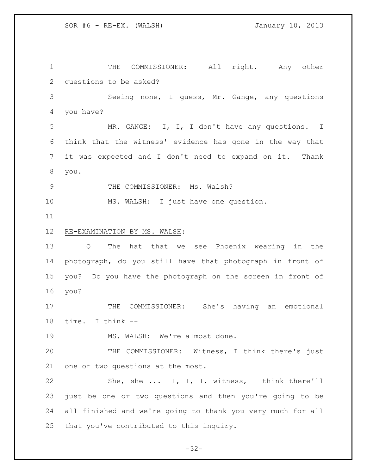THE COMMISSIONER: All right. Any other questions to be asked? Seeing none, I guess, Mr. Gange, any questions you have? MR. GANGE: I, I, I don't have any questions. I think that the witness' evidence has gone in the way that it was expected and I don't need to expand on it. Thank you. 9 THE COMMISSIONER: Ms. Walsh? MS. WALSH: I just have one question. RE-EXAMINATION BY MS. WALSH: Q The hat that we see Phoenix wearing in the photograph, do you still have that photograph in front of you? Do you have the photograph on the screen in front of you? 17 THE COMMISSIONER: She's having an emotional time. I think -- 19 MS. WALSH: We're almost done. THE COMMISSIONER: Witness, I think there's just one or two questions at the most. She, she ... I, I, I, witness, I think there'll just be one or two questions and then you're going to be all finished and we're going to thank you very much for all that you've contributed to this inquiry.

 $-32-$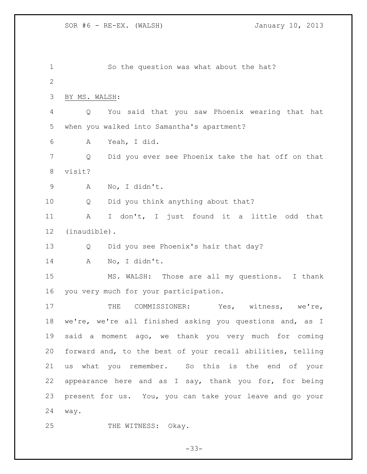So the question was what about the hat? BY MS. WALSH: Q You said that you saw Phoenix wearing that hat when you walked into Samantha's apartment? A Yeah, I did. Q Did you ever see Phoenix take the hat off on that visit? A No, I didn't. Q Did you think anything about that? A I don't, I just found it a little odd that (inaudible). Q Did you see Phoenix's hair that day? A No, I didn't. MS. WALSH: Those are all my questions. I thank you very much for your participation. 17 THE COMMISSIONER: Yes, witness, we're, we're, we're all finished asking you questions and, as I said a moment ago, we thank you very much for coming forward and, to the best of your recall abilities, telling us what you remember. So this is the end of your appearance here and as I say, thank you for, for being present for us. You, you can take your leave and go your way. 25 THE WITNESS: Okay.

 $-33-$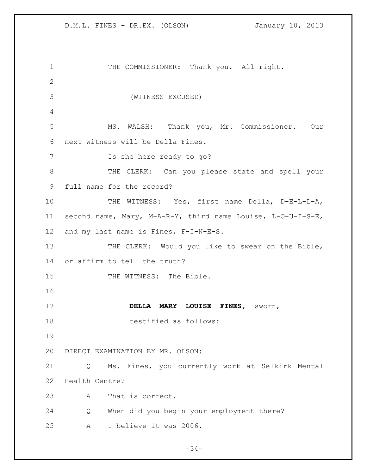| 1               | THE COMMISSIONER: Thank you. All right.                     |
|-----------------|-------------------------------------------------------------|
| $\mathbf{2}$    |                                                             |
| 3               | (WITNESS EXCUSED)                                           |
| 4               |                                                             |
| 5               | MS. WALSH: Thank you, Mr. Commissioner. Our                 |
|                 | next witness will be Della Fines.                           |
| 6               |                                                             |
| 7               | Is she here ready to go?                                    |
| 8               | THE CLERK: Can you please state and spell your              |
| 9               | full name for the record?                                   |
| 10              | THE WITNESS: Yes, first name Della, D-E-L-L-A,              |
| 11 <sub>1</sub> | second name, Mary, M-A-R-Y, third name Louise, L-O-U-I-S-E, |
| 12 <sup>°</sup> | and my last name is Fines, F-I-N-E-S.                       |
| 13              | THE CLERK: Would you like to swear on the Bible,            |
| 14              | or affirm to tell the truth?                                |
| 15              | THE WITNESS: The Bible.                                     |
| 16              |                                                             |
| 17              | DELLA MARY LOUISE FINES,<br>sworn,                          |
| 18              | testified as follows:                                       |
| 19              |                                                             |
| 20              | DIRECT EXAMINATION BY MR. OLSON:                            |
| 21              | Ms. Fines, you currently work at Selkirk Mental<br>Q        |
| 22              | Health Centre?                                              |
| 23              | That is correct.<br>A                                       |
| 24              | When did you begin your employment there?<br>Q              |
| 25              | I believe it was 2006.<br>A                                 |

 $-34-$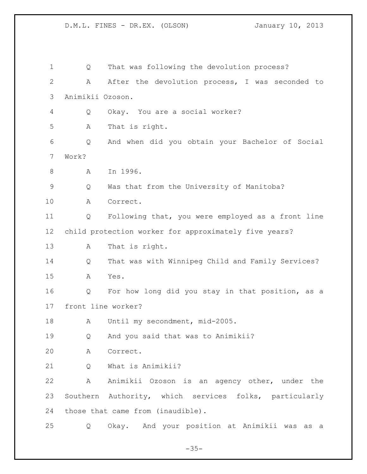| 1            | Q                 | That was following the devolution process?             |
|--------------|-------------------|--------------------------------------------------------|
| $\mathbf{2}$ | Α                 | After the devolution process, I was seconded to        |
| 3            | Animikii Ozoson.  |                                                        |
| 4            | Q                 | Okay. You are a social worker?                         |
| 5            | Α                 | That is right.                                         |
| 6            | Q                 | And when did you obtain your Bachelor of Social        |
| 7            | Work?             |                                                        |
| 8            | A                 | In 1996.                                               |
| 9            | Q                 | Was that from the University of Manitoba?              |
| 10           | Α                 | Correct.                                               |
| 11           | Q                 | Following that, you were employed as a front line      |
| 12           |                   | child protection worker for approximately five years?  |
| 13           | A                 | That is right.                                         |
| 14           | Q                 | That was with Winnipeg Child and Family Services?      |
| 15           | Α                 | Yes.                                                   |
| 16           | Q                 | For how long did you stay in that position, as a       |
| 17           |                   | front line worker?                                     |
| 18           | A                 | Until my secondment, mid-2005.                         |
| 19           | Q                 | And you said that was to Animikii?                     |
| 20           | Α                 | Correct.                                               |
| 21           | Q                 | What is Animikii?                                      |
| 22           | Α                 | Animikii Ozoson is an agency other, under the          |
| 23           |                   | Southern Authority, which services folks, particularly |
| 24           |                   | those that came from (inaudible).                      |
| 25           | $Q \qquad \qquad$ | Okay. And your position at Animikii was as a           |

 $-35-$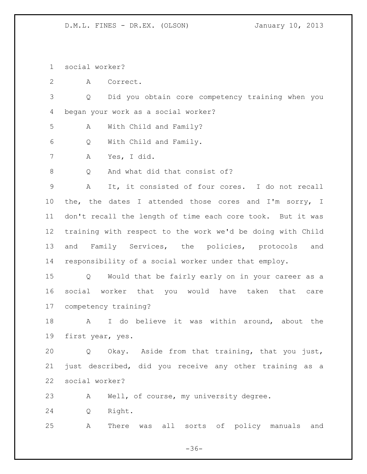social worker?

A Correct.

 Q Did you obtain core competency training when you began your work as a social worker?

A With Child and Family?

Q With Child and Family.

A Yes, I did.

8 O And what did that consist of?

 A It, it consisted of four cores. I do not recall the, the dates I attended those cores and I'm sorry, I don't recall the length of time each core took. But it was training with respect to the work we'd be doing with Child and Family Services, the policies, protocols and responsibility of a social worker under that employ.

 Q Would that be fairly early on in your career as a social worker that you would have taken that care competency training?

 A I do believe it was within around, about the first year, yes.

 Q Okay. Aside from that training, that you just, just described, did you receive any other training as a social worker?

A Well, of course, my university degree.

Q Right.

A There was all sorts of policy manuals and

 $-36-$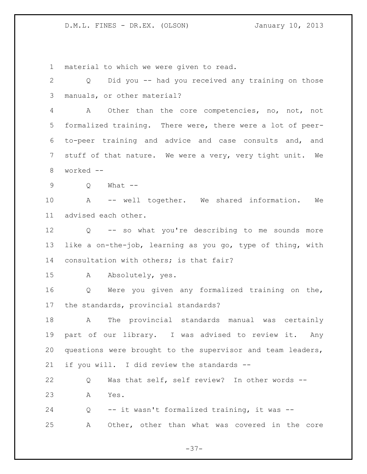material to which we were given to read.

 Q Did you -- had you received any training on those manuals, or other material? A Other than the core competencies, no, not, not formalized training. There were, there were a lot of peer- to-peer training and advice and case consults and, and stuff of that nature. We were a very, very tight unit. We worked -- Q What -- A -- well together. We shared information. We advised each other. Q -- so what you're describing to me sounds more like a on-the-job, learning as you go, type of thing, with consultation with others; is that fair? A Absolutely, yes. Q Were you given any formalized training on the, the standards, provincial standards? A The provincial standards manual was certainly part of our library. I was advised to review it. Any questions were brought to the supervisor and team leaders, if you will. I did review the standards -- Q Was that self, self review? In other words -- A Yes. Q -- it wasn't formalized training, it was -- A Other, other than what was covered in the core

 $-37-$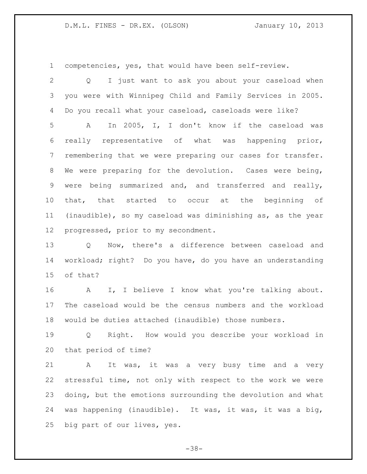competencies, yes, that would have been self-review.

 Q I just want to ask you about your caseload when you were with Winnipeg Child and Family Services in 2005. Do you recall what your caseload, caseloads were like? A In 2005, I, I don't know if the caseload was really representative of what was happening prior, remembering that we were preparing our cases for transfer. We were preparing for the devolution. Cases were being, were being summarized and, and transferred and really, that, that started to occur at the beginning of (inaudible), so my caseload was diminishing as, as the year progressed, prior to my secondment.

 Q Now, there's a difference between caseload and workload; right? Do you have, do you have an understanding of that?

 A I, I believe I know what you're talking about. The caseload would be the census numbers and the workload would be duties attached (inaudible) those numbers.

 Q Right. How would you describe your workload in that period of time?

 A It was, it was a very busy time and a very stressful time, not only with respect to the work we were doing, but the emotions surrounding the devolution and what was happening (inaudible). It was, it was, it was a big, big part of our lives, yes.

- 38-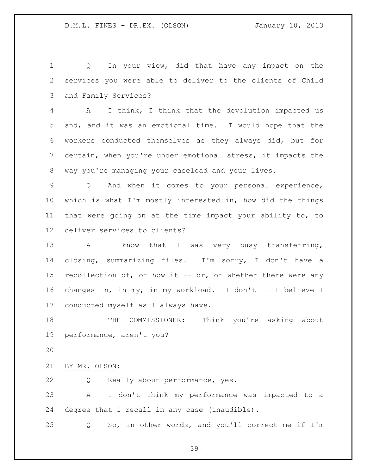Q In your view, did that have any impact on the services you were able to deliver to the clients of Child and Family Services?

 A I think, I think that the devolution impacted us and, and it was an emotional time. I would hope that the workers conducted themselves as they always did, but for certain, when you're under emotional stress, it impacts the way you're managing your caseload and your lives.

 Q And when it comes to your personal experience, which is what I'm mostly interested in, how did the things that were going on at the time impact your ability to, to deliver services to clients?

13 A I know that I was very busy transferring, closing, summarizing files. I'm sorry, I don't have a recollection of, of how it -- or, or whether there were any changes in, in my, in my workload. I don't -- I believe I conducted myself as I always have.

 THE COMMISSIONER: Think you're asking about performance, aren't you?

BY MR. OLSON:

Q Really about performance, yes.

 A I don't think my performance was impacted to a degree that I recall in any case (inaudible).

Q So, in other words, and you'll correct me if I'm

 $-39-$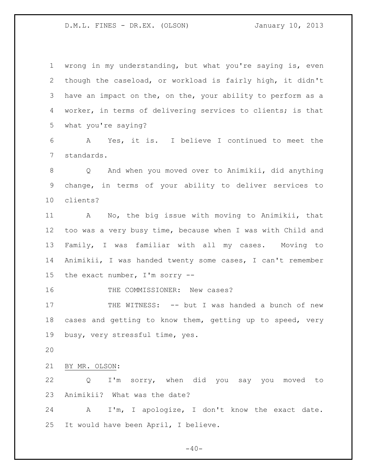wrong in my understanding, but what you're saying is, even though the caseload, or workload is fairly high, it didn't have an impact on the, on the, your ability to perform as a worker, in terms of delivering services to clients; is that what you're saying?

 A Yes, it is. I believe I continued to meet the standards.

 Q And when you moved over to Animikii, did anything change, in terms of your ability to deliver services to clients?

 A No, the big issue with moving to Animikii, that too was a very busy time, because when I was with Child and Family, I was familiar with all my cases. Moving to Animikii, I was handed twenty some cases, I can't remember the exact number, I'm sorry --

16 THE COMMISSIONER: New cases?

 THE WITNESS: -- but I was handed a bunch of new cases and getting to know them, getting up to speed, very busy, very stressful time, yes.

BY MR. OLSON:

 Q I'm sorry, when did you say you moved to Animikii? What was the date?

 A I'm, I apologize, I don't know the exact date. It would have been April, I believe.

 $-40-$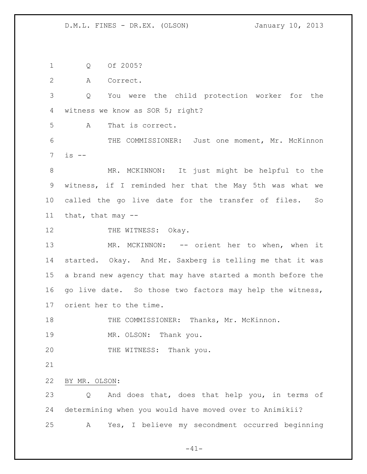Q Of 2005?

A Correct.

 Q You were the child protection worker for the witness we know as SOR 5; right?

A That is correct.

 THE COMMISSIONER: Just one moment, Mr. McKinnon is --

 MR. MCKINNON: It just might be helpful to the witness, if I reminded her that the May 5th was what we called the go live date for the transfer of files. So that, that may --

12 THE WITNESS: Okay.

 MR. MCKINNON: -- orient her to when, when it started. Okay. And Mr. Saxberg is telling me that it was a brand new agency that may have started a month before the 16 go live date. So those two factors may help the witness, orient her to the time.

THE COMMISSIONER: Thanks, Mr. McKinnon.

19 MR. OLSON: Thank you.

20 THE WITNESS: Thank you.

BY MR. OLSON:

 Q And does that, does that help you, in terms of determining when you would have moved over to Animikii? A Yes, I believe my secondment occurred beginning

 $-41-$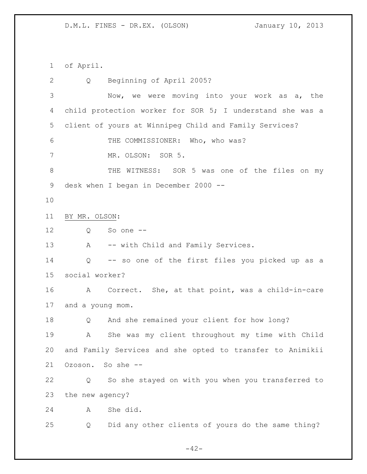of April.

 Q Beginning of April 2005? Now, we were moving into your work as a, the child protection worker for SOR 5; I understand she was a client of yours at Winnipeg Child and Family Services? THE COMMISSIONER: Who, who was? MR. OLSON: SOR 5. THE WITNESS: SOR 5 was one of the files on my desk when I began in December 2000 -- BY MR. OLSON: Q So one -- 13 A -- with Child and Family Services. Q -- so one of the first files you picked up as a social worker? A Correct. She, at that point, was a child-in-care and a young mom. Q And she remained your client for how long? A She was my client throughout my time with Child and Family Services and she opted to transfer to Animikii Ozoson. So she -- Q So she stayed on with you when you transferred to the new agency? A She did. Q Did any other clients of yours do the same thing?

 $-42-$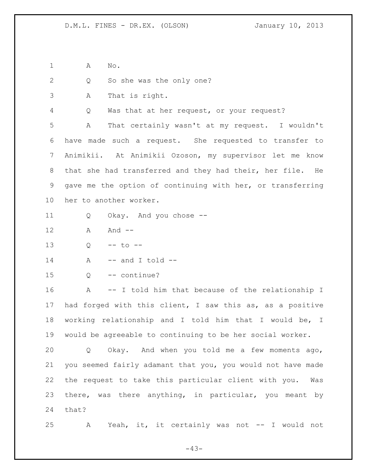A No.

|  |  |  |  |  |  | So she was the only one? |  |
|--|--|--|--|--|--|--------------------------|--|
|--|--|--|--|--|--|--------------------------|--|

A That is right.

Q Was that at her request, or your request?

 A That certainly wasn't at my request. I wouldn't have made such a request. She requested to transfer to Animikii. At Animikii Ozoson, my supervisor let me know that she had transferred and they had their, her file. He gave me the option of continuing with her, or transferring her to another worker.

- Q Okay. And you chose --
- A And --

Q -- to --

- A  $-$  and I told  $-$
- Q -- continue?

 A -- I told him that because of the relationship I had forged with this client, I saw this as, as a positive working relationship and I told him that I would be, I would be agreeable to continuing to be her social worker.

 Q Okay. And when you told me a few moments ago, you seemed fairly adamant that you, you would not have made the request to take this particular client with you. Was there, was there anything, in particular, you meant by that?

A Yeah, it, it certainly was not -- I would not

 $-43-$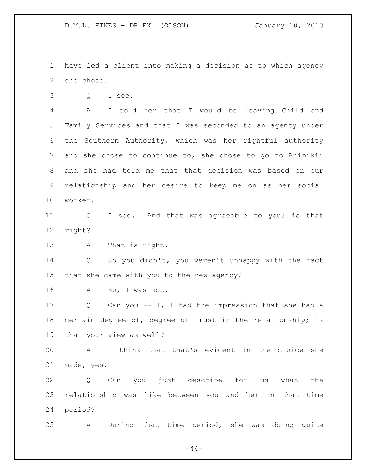have led a client into making a decision as to which agency she chose.

Q I see.

 A I told her that I would be leaving Child and Family Services and that I was seconded to an agency under the Southern Authority, which was her rightful authority and she chose to continue to, she chose to go to Animikii and she had told me that that decision was based on our relationship and her desire to keep me on as her social worker.

11 Q I see. And that was agreeable to you; is that right?

A That is right.

 Q So you didn't, you weren't unhappy with the fact that she came with you to the new agency?

A No, I was not.

 Q Can you -- I, I had the impression that she had a certain degree of, degree of trust in the relationship; is that your view as well?

 A I think that that's evident in the choice she made, yes.

 Q Can you just describe for us what the relationship was like between you and her in that time period?

A During that time period, she was doing quite

 $-44-$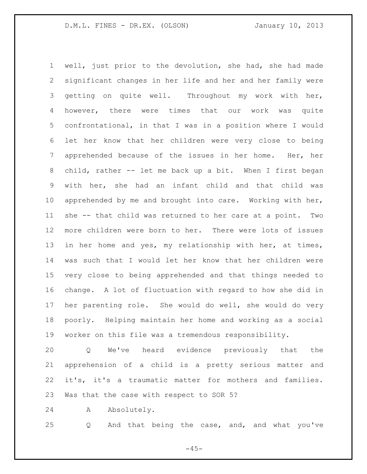well, just prior to the devolution, she had, she had made significant changes in her life and her and her family were getting on quite well. Throughout my work with her, however, there were times that our work was quite confrontational, in that I was in a position where I would let her know that her children were very close to being apprehended because of the issues in her home. Her, her child, rather -- let me back up a bit. When I first began with her, she had an infant child and that child was 10 apprehended by me and brought into care. Working with her, she -- that child was returned to her care at a point. Two more children were born to her. There were lots of issues in her home and yes, my relationship with her, at times, was such that I would let her know that her children were very close to being apprehended and that things needed to change. A lot of fluctuation with regard to how she did in her parenting role. She would do well, she would do very poorly. Helping maintain her home and working as a social worker on this file was a tremendous responsibility.

 Q We've heard evidence previously that the apprehension of a child is a pretty serious matter and it's, it's a traumatic matter for mothers and families. Was that the case with respect to SOR 5?

A Absolutely.

Q And that being the case, and, and what you've

 $-45-$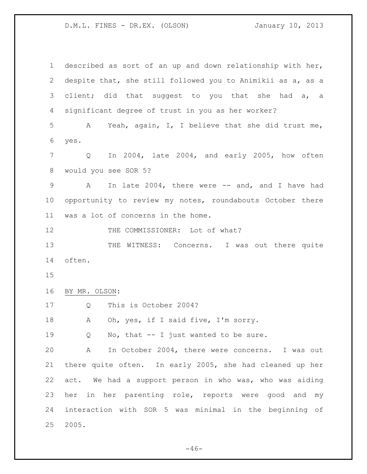| $\mathbf 1$ | described as sort of an up and down relationship with her,         |
|-------------|--------------------------------------------------------------------|
| 2           | despite that, she still followed you to Animikii as a, as a        |
| 3           | client; did that suggest to you that she had a, a                  |
| 4           | significant degree of trust in you as her worker?                  |
| 5           | A Yeah, again, I, I believe that she did trust me,                 |
| 6           | yes.                                                               |
| 7           | In 2004, late 2004, and early 2005, how often<br>$Q \qquad \qquad$ |
| 8           | would you see SOR 5?                                               |
| 9           | In late 2004, there were -- and, and I have had<br>A               |
| 10          | opportunity to review my notes, roundabouts October there          |
| 11          | was a lot of concerns in the home.                                 |
| 12          | THE COMMISSIONER: Lot of what?                                     |
| 13          | THE<br>WITNESS: Concerns. I was out there quite                    |
| 14          | often.                                                             |
| 15          |                                                                    |
| 16          | BY MR. OLSON:                                                      |
| 17          | This is October 2004?<br>Q                                         |
| 18          | Oh, yes, if I said five, I'm sorry.<br>A                           |
| 19          | No, that -- I just wanted to be sure.<br>Q                         |
| 20          | In October 2004, there were concerns. I was out<br>$\mathbf{A}$    |
| 21          | there quite often. In early 2005, she had cleaned up her           |
| 22          | act. We had a support person in who was, who was aiding            |
| 23          | her in her parenting role, reports were good and my                |
| 24          | interaction with SOR 5 was minimal in the beginning of             |
| 25          | 2005.                                                              |

 $-46-$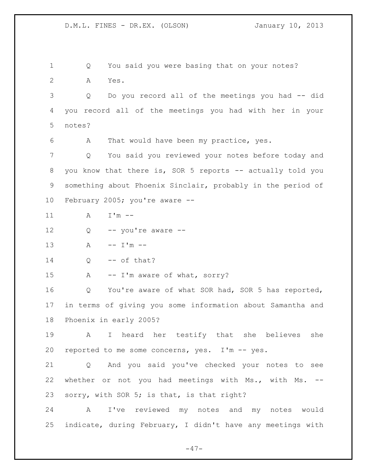1 Q You said you were basing that on your notes? A Yes. Q Do you record all of the meetings you had -- did you record all of the meetings you had with her in your notes? A That would have been my practice, yes. Q You said you reviewed your notes before today and 8 you know that there is, SOR 5 reports -- actually told you something about Phoenix Sinclair, probably in the period of February 2005; you're aware -- 11  $A = I'm -$  Q -- you're aware -- 13 A  $-$  I'm  $-$  Q  $-$  of that? 15 A -- I'm aware of what, sorry? Q You're aware of what SOR had, SOR 5 has reported, in terms of giving you some information about Samantha and Phoenix in early 2005? A I heard her testify that she believes she reported to me some concerns, yes. I'm -- yes. Q And you said you've checked your notes to see whether or not you had meetings with Ms., with Ms. -- sorry, with SOR 5; is that, is that right? A I've reviewed my notes and my notes would indicate, during February, I didn't have any meetings with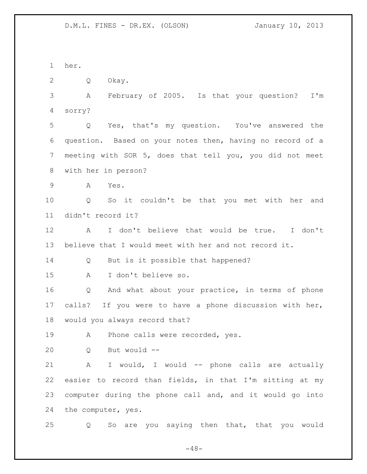her. 2 O Okay. A February of 2005. Is that your question? I'm sorry? Q Yes, that's my question. You've answered the question. Based on your notes then, having no record of a meeting with SOR 5, does that tell you, you did not meet with her in person? A Yes. Q So it couldn't be that you met with her and didn't record it? A I don't believe that would be true. I don't believe that I would meet with her and not record it. 14 Q But is it possible that happened? A I don't believe so. Q And what about your practice, in terms of phone calls? If you were to have a phone discussion with her, would you always record that? 19 A Phone calls were recorded, yes. Q But would -- A I would, I would -- phone calls are actually easier to record than fields, in that I'm sitting at my computer during the phone call and, and it would go into the computer, yes. Q So are you saying then that, that you would

 $-48-$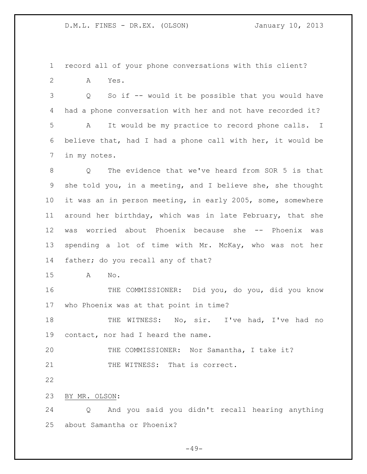record all of your phone conversations with this client? A Yes.

 Q So if -- would it be possible that you would have had a phone conversation with her and not have recorded it? A It would be my practice to record phone calls. I believe that, had I had a phone call with her, it would be in my notes.

 Q The evidence that we've heard from SOR 5 is that she told you, in a meeting, and I believe she, she thought it was an in person meeting, in early 2005, some, somewhere around her birthday, which was in late February, that she was worried about Phoenix because she -- Phoenix was spending a lot of time with Mr. McKay, who was not her father; do you recall any of that?

A No.

 THE COMMISSIONER: Did you, do you, did you know who Phoenix was at that point in time?

 THE WITNESS: No, sir. I've had, I've had no contact, nor had I heard the name.

 THE COMMISSIONER: Nor Samantha, I take it? 21 THE WITNESS: That is correct.

BY MR. OLSON:

 Q And you said you didn't recall hearing anything about Samantha or Phoenix?

 $-49-$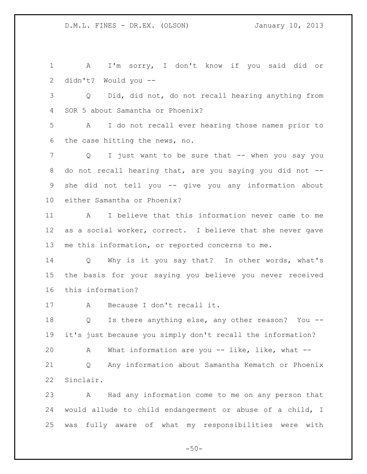A I'm sorry, I don't know if you said did or didn't? Would you --

 Q Did, did not, do not recall hearing anything from SOR 5 about Samantha or Phoenix?

 A I do not recall ever hearing those names prior to the case hitting the news, no.

7 Q I just want to be sure that -- when you say you do not recall hearing that, are you saying you did not -- she did not tell you -- give you any information about either Samantha or Phoenix?

 A I believe that this information never came to me as a social worker, correct. I believe that she never gave me this information, or reported concerns to me.

 Q Why is it you say that? In other words, what's the basis for your saying you believe you never received this information?

A Because I don't recall it.

18 O Is there anything else, any other reason? You --it's just because you simply don't recall the information?

A What information are you -- like, like, what --

 Q Any information about Samantha Kematch or Phoenix Sinclair.

 A Had any information come to me on any person that would allude to child endangerment or abuse of a child, I was fully aware of what my responsibilities were with

 $-50-$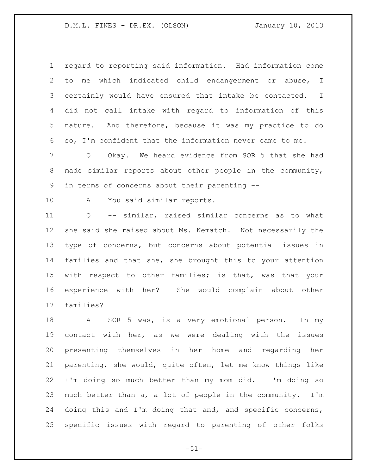regard to reporting said information. Had information come to me which indicated child endangerment or abuse, I certainly would have ensured that intake be contacted. I did not call intake with regard to information of this nature. And therefore, because it was my practice to do so, I'm confident that the information never came to me.

 Q Okay. We heard evidence from SOR 5 that she had made similar reports about other people in the community, in terms of concerns about their parenting --

A You said similar reports.

 Q -- similar, raised similar concerns as to what she said she raised about Ms. Kematch. Not necessarily the type of concerns, but concerns about potential issues in families and that she, she brought this to your attention with respect to other families; is that, was that your experience with her? She would complain about other families?

 A SOR 5 was, is a very emotional person. In my contact with her, as we were dealing with the issues presenting themselves in her home and regarding her parenting, she would, quite often, let me know things like I'm doing so much better than my mom did. I'm doing so much better than a, a lot of people in the community. I'm doing this and I'm doing that and, and specific concerns, specific issues with regard to parenting of other folks

 $-51-$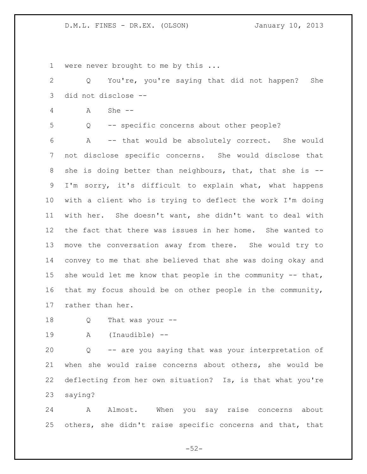1 were never brought to me by this ...

 Q You're, you're saying that did not happen? She did not disclose --

A She --

Q -- specific concerns about other people?

 A -- that would be absolutely correct. She would not disclose specific concerns. She would disclose that 8 she is doing better than neighbours, that, that she is -- I'm sorry, it's difficult to explain what, what happens with a client who is trying to deflect the work I'm doing with her. She doesn't want, she didn't want to deal with the fact that there was issues in her home. She wanted to move the conversation away from there. She would try to convey to me that she believed that she was doing okay and 15 she would let me know that people in the community -- that, that my focus should be on other people in the community, rather than her.

- Q That was your --
- 

A (Inaudible) --

 Q -- are you saying that was your interpretation of when she would raise concerns about others, she would be deflecting from her own situation? Is, is that what you're saying?

 A Almost. When you say raise concerns about others, she didn't raise specific concerns and that, that

 $-52-$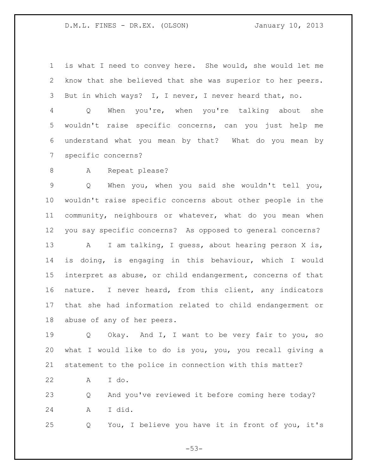is what I need to convey here. She would, she would let me know that she believed that she was superior to her peers. But in which ways? I, I never, I never heard that, no.

 Q When you're, when you're talking about she wouldn't raise specific concerns, can you just help me understand what you mean by that? What do you mean by specific concerns?

8 A Repeat please?

 Q When you, when you said she wouldn't tell you, wouldn't raise specific concerns about other people in the community, neighbours or whatever, what do you mean when you say specific concerns? As opposed to general concerns? 13 A I am talking, I guess, about hearing person X is, is doing, is engaging in this behaviour, which I would interpret as abuse, or child endangerment, concerns of that nature. I never heard, from this client, any indicators that she had information related to child endangerment or abuse of any of her peers.

 Q Okay. And I, I want to be very fair to you, so what I would like to do is you, you, you recall giving a statement to the police in connection with this matter?

A I do.

 Q And you've reviewed it before coming here today? A I did.

Q You, I believe you have it in front of you, it's

 $-53-$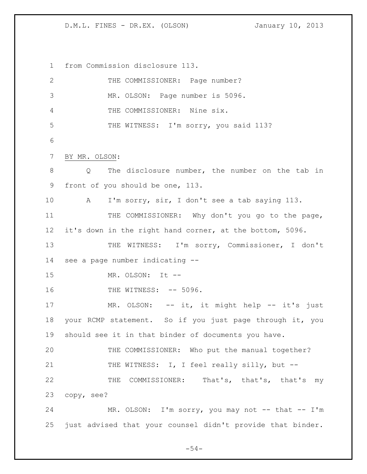from Commission disclosure 113.

| $\mathbf{2}$    | THE COMMISSIONER: Page number?                             |
|-----------------|------------------------------------------------------------|
| $\mathfrak{Z}$  | MR. OLSON: Page number is 5096.                            |
| 4               | THE COMMISSIONER: Nine six.                                |
| 5               | THE WITNESS: I'm sorry, you said 113?                      |
| 6               |                                                            |
| $7\phantom{.}$  | BY MR. OLSON:                                              |
| 8               | The disclosure number, the number on the tab in<br>Q       |
| 9               | front of you should be one, 113.                           |
| 10              | I'm sorry, sir, I don't see a tab saying 113.<br>A         |
| 11              | THE COMMISSIONER: Why don't you go to the page,            |
| 12 <sup>°</sup> | it's down in the right hand corner, at the bottom, 5096.   |
| 13              | THE WITNESS: I'm sorry, Commissioner, I don't              |
| 14              | see a page number indicating --                            |
| 15              | MR. OLSON: It --                                           |
| 16              | THE WITNESS: -- 5096.                                      |
| 17              | MR. OLSON: -- it, it might help -- it's just               |
| 18              | your RCMP statement. So if you just page through it, you   |
| 19              | should see it in that binder of documents you have.        |
| 20              | THE COMMISSIONER: Who put the manual together?             |
| 21              | THE WITNESS: I, I feel really silly, but --                |
| 22              | THE COMMISSIONER: That's, that's, that's my                |
| 23              | copy, see?                                                 |
| 24              | MR. OLSON: I'm sorry, you may not -- that -- I'm           |
| 25              | just advised that your counsel didn't provide that binder. |

 $-54-$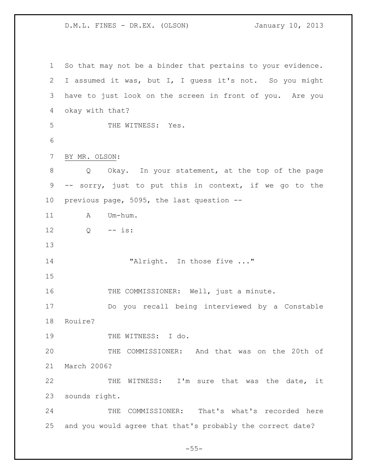So that may not be a binder that pertains to your evidence. I assumed it was, but I, I guess it's not. So you might have to just look on the screen in front of you. Are you okay with that? 5 THE WITNESS: Yes. BY MR. OLSON: Q Okay. In your statement, at the top of the page -- sorry, just to put this in context, if we go to the previous page, 5095, the last question -- 11 A Um-hum. Q -- is: 14 "Alright. In those five ..." THE COMMISSIONER: Well, just a minute. Do you recall being interviewed by a Constable Rouire? 19 THE WITNESS: I do. THE COMMISSIONER: And that was on the 20th of March 2006? 22 THE WITNESS: I'm sure that was the date, it sounds right. 24 THE COMMISSIONER: That's what's recorded here and you would agree that that's probably the correct date?

 $-55-$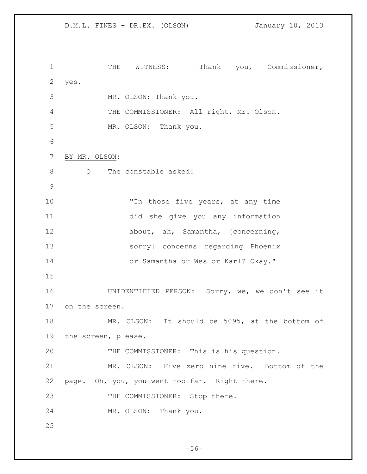D.M.L. FINES - DR.EX. (OLSON) January 10, 2013 1 THE WITNESS: Thank you, Commissioner, yes. MR. OLSON: Thank you. THE COMMISSIONER: All right, Mr. Olson. MR. OLSON: Thank you. BY MR. OLSON: 8 Q The constable asked: 10 Th those five years, at any time did she give you any information 12 about, ah, Samantha, [concerning, sorry] concerns regarding Phoenix or Samantha or Wes or Karl? Okay." UNIDENTIFIED PERSON: Sorry, we, we don't see it on the screen. MR. OLSON: It should be 5095, at the bottom of the screen, please. THE COMMISSIONER: This is his question. MR. OLSON: Five zero nine five. Bottom of the page. Oh, you, you went too far. Right there. 23 THE COMMISSIONER: Stop there. MR. OLSON: Thank you. 

 $-56-$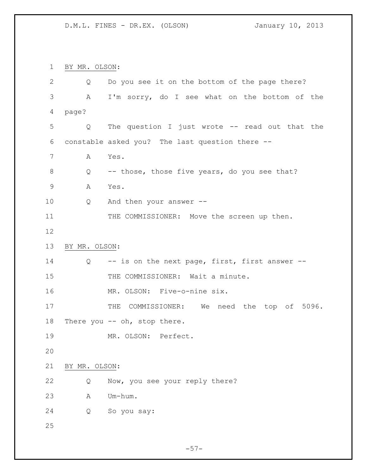BY MR. OLSON:

| $\overline{2}$ | Q             | Do you see it on the bottom of the page there?  |
|----------------|---------------|-------------------------------------------------|
| 3              | A             | I'm sorry, do I see what on the bottom of the   |
| 4              | page?         |                                                 |
| 5              | Q             | The question I just wrote -- read out that the  |
| 6              |               | constable asked you? The last question there -- |
| 7              | Α             | Yes.                                            |
| 8              | Q             | -- those, those five years, do you see that?    |
| $\mathsf 9$    | Α             | Yes.                                            |
| 10             | Q             | And then your answer --                         |
| 11             |               | THE COMMISSIONER: Move the screen up then.      |
| 12             |               |                                                 |
| 13             | BY MR. OLSON: |                                                 |
| 14             | Q             | -- is on the next page, first, first answer --  |
| 15             |               | THE COMMISSIONER: Wait a minute.                |
| 16             |               | MR. OLSON: Five-o-nine six.                     |
| 17             |               | THE COMMISSIONER: We need the top of 5096.      |
| 18             |               | There you -- oh, stop there.                    |
| 19             |               | MR. OLSON: Perfect.                             |
| 20             |               |                                                 |
| 21             | BY MR. OLSON: |                                                 |
| 22             | Q             | Now, you see your reply there?                  |
| 23             | Α             | Um-hum.                                         |
| 24             | Q             | So you say:                                     |
| 25             |               |                                                 |

 $-57-$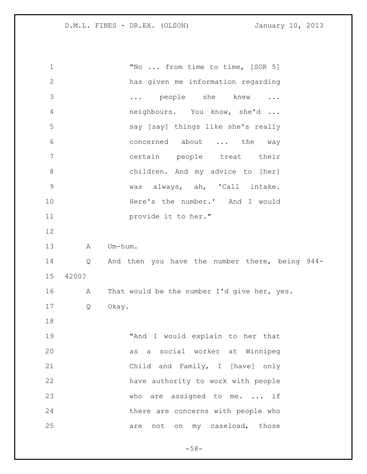| 1              |       | "No  from time to time, [SOR 5]                |
|----------------|-------|------------------------------------------------|
| $\mathbf{2}$   |       | has given me information regarding             |
| 3              |       | people she knew<br>$\cdots$<br>$\ddots$        |
| 4              |       | neighbours. You know, she'd                    |
| 5              |       | say [say] things like she's really             |
| 6              |       | concerned about  the<br>way                    |
| $7\phantom{.}$ |       | certain people treat their                     |
| $\,8\,$        |       | children. And my advice to [her]               |
| $\mathsf 9$    |       | was always, ah, 'Call intake.                  |
| 10             |       | Here's the number.' And I would                |
| 11             |       | provide it to her."                            |
| 12             |       |                                                |
| 13             | A     | Um-hum.                                        |
|                |       |                                                |
| 14             | Q     | And then you have the number there, being 944- |
| 15             | 4200? |                                                |
| 16             | A     | That would be the number I'd give her, yes.    |
| 17             | Q     | Okay.                                          |
| 18             |       |                                                |
| 19             |       | "And I would explain to her that               |
| 20             |       | as a social worker at Winnipeg                 |
| 21             |       | Child and Family, I [have] only                |
| 22             |       | have authority to work with people             |
| 23             |       | who are assigned to me.  if                    |
| 24             |       | there are concerns with people who             |

- 58-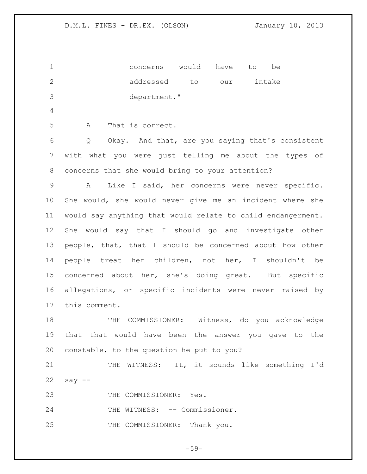concerns would have to be addressed to our intake department." A That is correct. Q Okay. And that, are you saying that's consistent with what you were just telling me about the types of concerns that she would bring to your attention? A Like I said, her concerns were never specific. She would, she would never give me an incident where she would say anything that would relate to child endangerment. She would say that I should go and investigate other people, that, that I should be concerned about how other people treat her children, not her, I shouldn't be concerned about her, she's doing great. But specific allegations, or specific incidents were never raised by this comment. THE COMMISSIONER: Witness, do you acknowledge that that would have been the answer you gave to the constable, to the question he put to you? 21 THE WITNESS: It, it sounds like something I'd say  $-$ 23 THE COMMISSIONER: Yes. 24 THE WITNESS: -- Commissioner. 25 THE COMMISSIONER: Thank you.

 $-59-$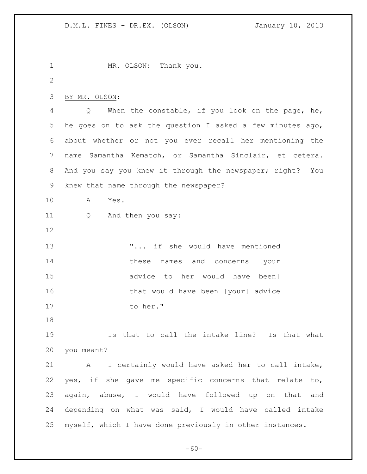MR. OLSON: Thank you.  $\mathcal{P}$  BY MR. OLSON: Q When the constable, if you look on the page, he, he goes on to ask the question I asked a few minutes ago, about whether or not you ever recall her mentioning the name Samantha Kematch, or Samantha Sinclair, et cetera. And you say you knew it through the newspaper; right? You knew that name through the newspaper? A Yes. Q And then you say: **... "...** if she would have mentioned these names and concerns [your advice to her would have been] **that would have been** [your] advice 17 to her." Is that to call the intake line? Is that what you meant? A I certainly would have asked her to call intake, yes, if she gave me specific concerns that relate to, again, abuse, I would have followed up on that and depending on what was said, I would have called intake myself, which I have done previously in other instances.

 $-60-$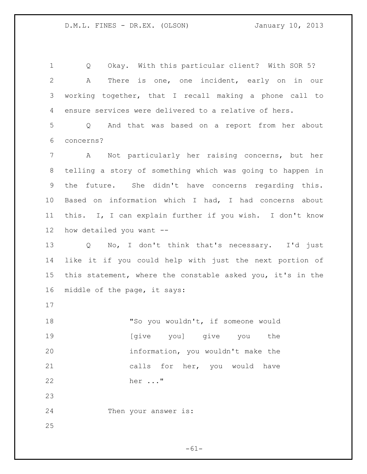Q Okay. With this particular client? With SOR 5? A There is one, one incident, early on in our working together, that I recall making a phone call to ensure services were delivered to a relative of hers.

 Q And that was based on a report from her about concerns?

 A Not particularly her raising concerns, but her telling a story of something which was going to happen in the future. She didn't have concerns regarding this. Based on information which I had, I had concerns about this. I, I can explain further if you wish. I don't know how detailed you want --

 Q No, I don't think that's necessary. I'd just like it if you could help with just the next portion of this statement, where the constable asked you, it's in the middle of the page, it says:

18 "So you wouldn't, if someone would [give you] give you the information, you wouldn't make the calls for her, you would have her ..." 

Then your answer is:

 $-61-$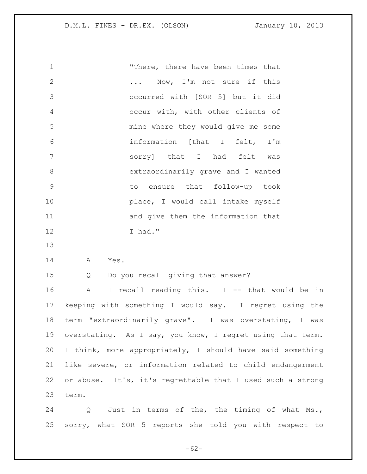"There, there have been times that 2 ... Now, I'm not sure if this occurred with [SOR 5] but it did occur with, with other clients of mine where they would give me some information [that I felt, I'm sorry] that I had felt was extraordinarily grave and I wanted to ensure that follow-up took **place**, I would call intake myself and give them the information that I had." 

A Yes.

Q Do you recall giving that answer?

 A I recall reading this. I -- that would be in keeping with something I would say. I regret using the term "extraordinarily grave". I was overstating, I was overstating. As I say, you know, I regret using that term. I think, more appropriately, I should have said something like severe, or information related to child endangerment or abuse. It's, it's regrettable that I used such a strong term.

24 Q Just in terms of the, the timing of what Ms., sorry, what SOR 5 reports she told you with respect to

 $-62-$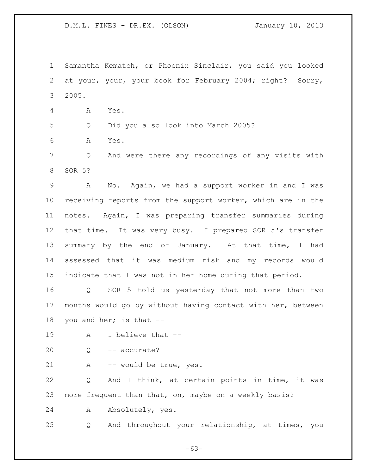Samantha Kematch, or Phoenix Sinclair, you said you looked at your, your, your book for February 2004; right? Sorry, 2005.

A Yes.

Q Did you also look into March 2005?

A Yes.

 Q And were there any recordings of any visits with SOR 5?

 A No. Again, we had a support worker in and I was receiving reports from the support worker, which are in the notes. Again, I was preparing transfer summaries during that time. It was very busy. I prepared SOR 5's transfer 13 summary by the end of January. At that time, I had assessed that it was medium risk and my records would indicate that I was not in her home during that period.

 Q SOR 5 told us yesterday that not more than two months would go by without having contact with her, between you and her; is that --

A I believe that --

20 O -- accurate?

A -- would be true, yes.

 Q And I think, at certain points in time, it was more frequent than that, on, maybe on a weekly basis?

A Absolutely, yes.

Q And throughout your relationship, at times, you

 $-63-$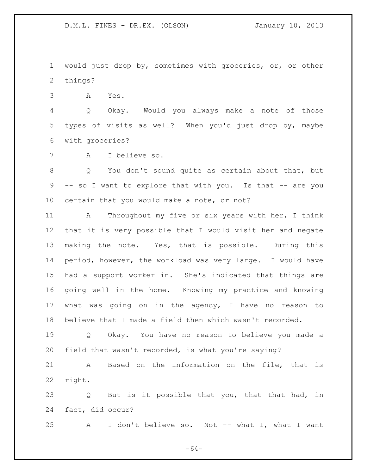would just drop by, sometimes with groceries, or, or other things?

A Yes.

 Q Okay. Would you always make a note of those types of visits as well? When you'd just drop by, maybe with groceries?

A I believe so.

 Q You don't sound quite as certain about that, but 9 -- so I want to explore that with you. Is that -- are you certain that you would make a note, or not?

 A Throughout my five or six years with her, I think that it is very possible that I would visit her and negate making the note. Yes, that is possible. During this period, however, the workload was very large. I would have had a support worker in. She's indicated that things are going well in the home. Knowing my practice and knowing what was going on in the agency, I have no reason to believe that I made a field then which wasn't recorded.

 Q Okay. You have no reason to believe you made a field that wasn't recorded, is what you're saying?

 A Based on the information on the file, that is right.

 Q But is it possible that you, that that had, in fact, did occur?

A I don't believe so. Not -- what I, what I want

 $-64-$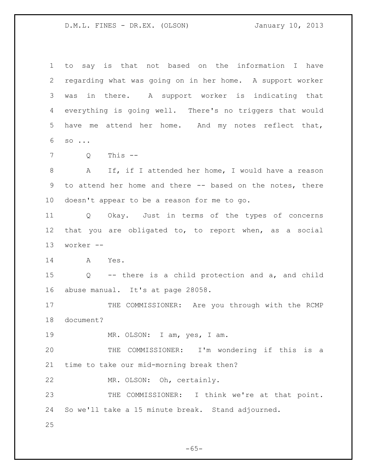to say is that not based on the information I have regarding what was going on in her home. A support worker was in there. A support worker is indicating that everything is going well. There's no triggers that would have me attend her home. And my notes reflect that, so ...

Q This --

 A If, if I attended her home, I would have a reason 9 to attend her home and there -- based on the notes, there doesn't appear to be a reason for me to go.

 Q Okay. Just in terms of the types of concerns that you are obligated to, to report when, as a social worker --

A Yes.

 Q -- there is a child protection and a, and child abuse manual. It's at page 28058.

 THE COMMISSIONER: Are you through with the RCMP document?

MR. OLSON: I am, yes, I am.

 THE COMMISSIONER: I'm wondering if this is a time to take our mid-morning break then?

MR. OLSON: Oh, certainly.

23 THE COMMISSIONER: I think we're at that point. So we'll take a 15 minute break. Stand adjourned.

 $-65-$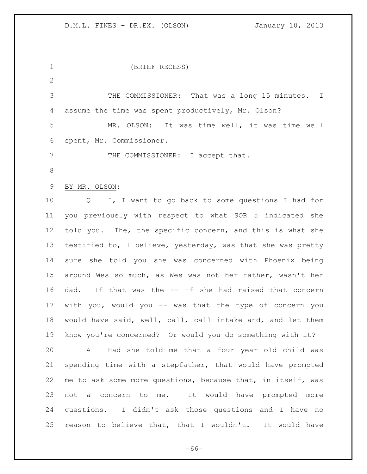(BRIEF RECESS)  $\mathcal{P}$  THE COMMISSIONER: That was a long 15 minutes. I assume the time was spent productively, Mr. Olson? MR. OLSON: It was time well, it was time well spent, Mr. Commissioner. 7 THE COMMISSIONER: I accept that. BY MR. OLSON: Q I, I want to go back to some questions I had for you previously with respect to what SOR 5 indicated she told you. The, the specific concern, and this is what she testified to, I believe, yesterday, was that she was pretty sure she told you she was concerned with Phoenix being around Wes so much, as Wes was not her father, wasn't her dad. If that was the -- if she had raised that concern with you, would you -- was that the type of concern you would have said, well, call, call intake and, and let them know you're concerned? Or would you do something with it? A Had she told me that a four year old child was spending time with a stepfather, that would have prompted me to ask some more questions, because that, in itself, was not a concern to me. It would have prompted more questions. I didn't ask those questions and I have no reason to believe that, that I wouldn't. It would have

 $-66-$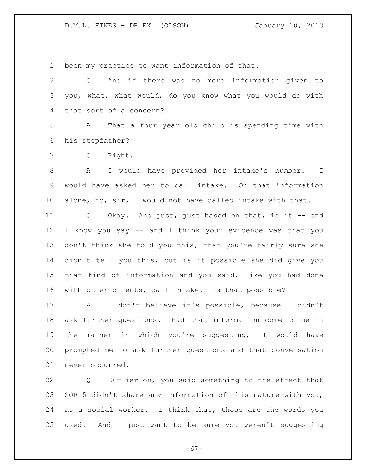been my practice to want information of that.

 Q And if there was no more information given to you, what, what would, do you know what you would do with that sort of a concern?

 A That a four year old child is spending time with his stepfather?

Q Right.

 A I would have provided her intake's number. I would have asked her to call intake. On that information alone, no, sir, I would not have called intake with that.

 Q Okay. And just, just based on that, is it -- and I know you say -- and I think your evidence was that you don't think she told you this, that you're fairly sure she didn't tell you this, but is it possible she did give you that kind of information and you said, like you had done with other clients, call intake? Is that possible?

 A I don't believe it's possible, because I didn't ask further questions. Had that information come to me in the manner in which you're suggesting, it would have prompted me to ask further questions and that conversation never occurred.

 Q Earlier on, you said something to the effect that SOR 5 didn't share any information of this nature with you, as a social worker. I think that, those are the words you used. And I just want to be sure you weren't suggesting

 $-67-$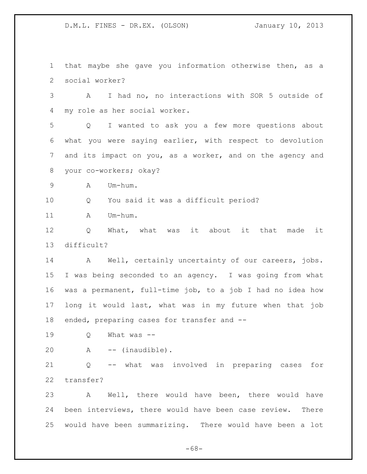that maybe she gave you information otherwise then, as a social worker?

 A I had no, no interactions with SOR 5 outside of my role as her social worker.

 Q I wanted to ask you a few more questions about what you were saying earlier, with respect to devolution and its impact on you, as a worker, and on the agency and your co-workers; okay?

A Um-hum.

Q You said it was a difficult period?

A Um-hum.

 Q What, what was it about it that made it difficult?

14 A Well, certainly uncertainty of our careers, jobs. I was being seconded to an agency. I was going from what was a permanent, full-time job, to a job I had no idea how long it would last, what was in my future when that job 18 ended, preparing cases for transfer and --

Q What was --

A -- (inaudible).

 Q -- what was involved in preparing cases for transfer?

 A Well, there would have been, there would have been interviews, there would have been case review. There would have been summarizing. There would have been a lot

 $-68-$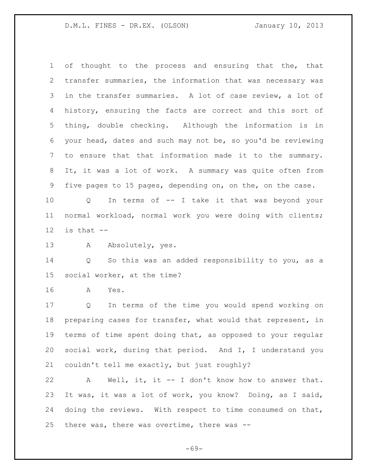of thought to the process and ensuring that the, that transfer summaries, the information that was necessary was in the transfer summaries. A lot of case review, a lot of history, ensuring the facts are correct and this sort of thing, double checking. Although the information is in your head, dates and such may not be, so you'd be reviewing to ensure that that information made it to the summary. It, it was a lot of work. A summary was quite often from five pages to 15 pages, depending on, on the, on the case.

 Q In terms of -- I take it that was beyond your normal workload, normal work you were doing with clients; is that  $-$ 

13 A Absolutely, yes.

 Q So this was an added responsibility to you, as a social worker, at the time?

A Yes.

 Q In terms of the time you would spend working on preparing cases for transfer, what would that represent, in terms of time spent doing that, as opposed to your regular social work, during that period. And I, I understand you couldn't tell me exactly, but just roughly?

 A Well, it, it -- I don't know how to answer that. It was, it was a lot of work, you know? Doing, as I said, doing the reviews. With respect to time consumed on that, there was, there was overtime, there was --

 $-69-$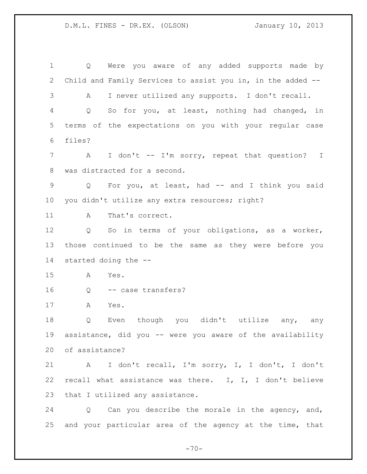D.M.L. FINES - DR.EX. (OLSON) January 10, 2013

 Q Were you aware of any added supports made by Child and Family Services to assist you in, in the added -- A I never utilized any supports. I don't recall. Q So for you, at least, nothing had changed, in terms of the expectations on you with your regular case files? 7 A I don't -- I'm sorry, repeat that question? I was distracted for a second. Q For you, at least, had -- and I think you said you didn't utilize any extra resources; right? 11 A That's correct. Q So in terms of your obligations, as a worker, those continued to be the same as they were before you started doing the -- A Yes. Q -- case transfers? A Yes. 18 0 Even though you didn't utilize any, any assistance, did you -- were you aware of the availability of assistance? A I don't recall, I'm sorry, I, I don't, I don't recall what assistance was there. I, I, I don't believe 23 that I utilized any assistance. Q Can you describe the morale in the agency, and, and your particular area of the agency at the time, that

 $-70-$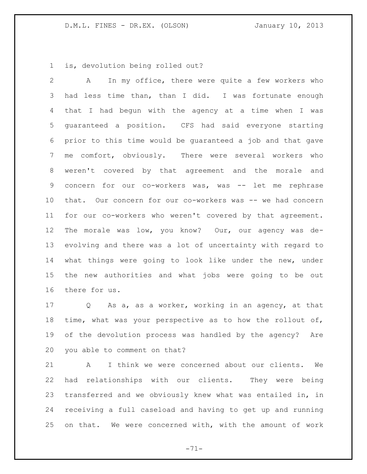is, devolution being rolled out?

 A In my office, there were quite a few workers who had less time than, than I did. I was fortunate enough that I had begun with the agency at a time when I was guaranteed a position. CFS had said everyone starting prior to this time would be guaranteed a job and that gave me comfort, obviously. There were several workers who weren't covered by that agreement and the morale and 9 concern for our co-workers was, was -- let me rephrase that. Our concern for our co-workers was -- we had concern for our co-workers who weren't covered by that agreement. The morale was low, you know? Our, our agency was de- evolving and there was a lot of uncertainty with regard to what things were going to look like under the new, under the new authorities and what jobs were going to be out there for us.

 Q As a, as a worker, working in an agency, at that time, what was your perspective as to how the rollout of, of the devolution process was handled by the agency? Are you able to comment on that?

 A I think we were concerned about our clients. We had relationships with our clients. They were being transferred and we obviously knew what was entailed in, in receiving a full caseload and having to get up and running on that. We were concerned with, with the amount of work

 $-71-$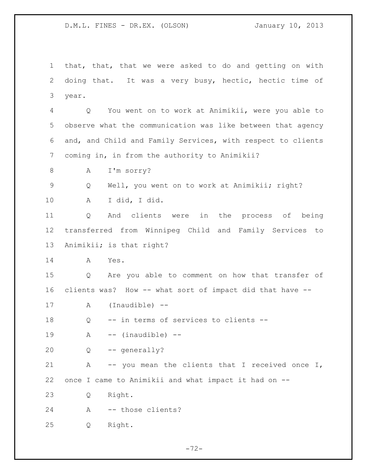D.M.L. FINES - DR.EX. (OLSON) January 10, 2013

 that, that, that we were asked to do and getting on with doing that. It was a very busy, hectic, hectic time of year. Q You went on to work at Animikii, were you able to observe what the communication was like between that agency and, and Child and Family Services, with respect to clients coming in, in from the authority to Animikii? A I'm sorry? Q Well, you went on to work at Animikii; right? A I did, I did. Q And clients were in the process of being transferred from Winnipeg Child and Family Services to Animikii; is that right? A Yes. Q Are you able to comment on how that transfer of clients was? How -- what sort of impact did that have -- A (Inaudible) -- Q -- in terms of services to clients -- A -- (inaudible) -- Q -- generally? A -- you mean the clients that I received once I,

once I came to Animikii and what impact it had on --

Q Right.

A -- those clients?

Q Right.

 $-72-$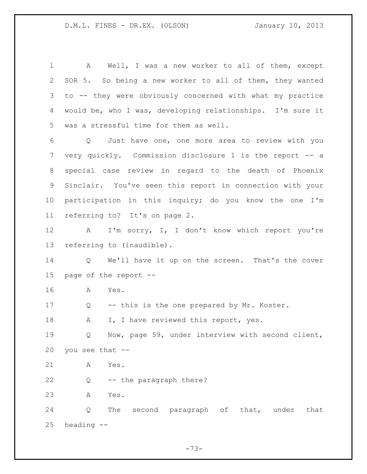1 A Well, I was a new worker to all of them, except SOR 5. So being a new worker to all of them, they wanted to -- they were obviously concerned with what my practice would be, who I was, developing relationships. I'm sure it was a stressful time for them as well. Q Just have one, one more area to review with you very quickly. Commission disclosure 1 is the report -- a special case review in regard to the death of Phoenix Sinclair. You've seen this report in connection with your participation in this inquiry; do you know the one I'm referring to? It's on page 2. A I'm sorry, I, I don't know which report you're referring to (inaudible). Q We'll have it up on the screen. That's the cover page of the report -- A Yes. Q -- this is the one prepared by Mr. Koster. 18 A I, I have reviewed this report, yes. Q Now, page 59, under interview with second client, you see that -- A Yes. Q -- the paragraph there? A Yes. Q The second paragraph of that, under that heading --

 $-73-$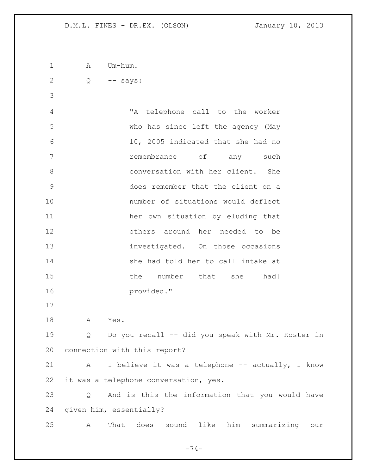D.M.L. FINES - DR.EX. (OLSON) January 10, 2013

1 A Um-hum. Q -- says:

 "A telephone call to the worker who has since left the agency (May 10, 2005 indicated that she had no remembrance of any such conversation with her client. She does remember that the client on a number of situations would deflect her own situation by eluding that others around her needed to be 13 investigated. On those occasions 14 She had told her to call intake at 15 the number that she [had] provided."

A Yes.

 Q Do you recall -- did you speak with Mr. Koster in connection with this report?

21 A I believe it was a telephone -- actually, I know it was a telephone conversation, yes.

 Q And is this the information that you would have given him, essentially?

A That does sound like him summarizing our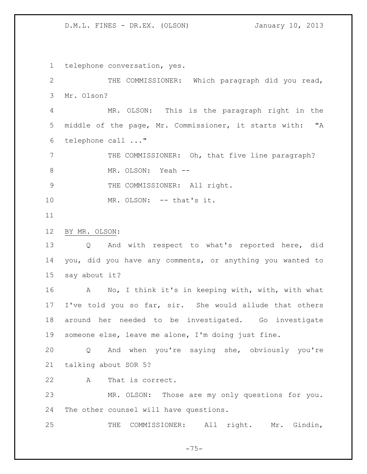D.M.L. FINES - DR.EX. (OLSON) January 10, 2013

telephone conversation, yes.

 THE COMMISSIONER: Which paragraph did you read, Mr. Olson?

 MR. OLSON: This is the paragraph right in the middle of the page, Mr. Commissioner, it starts with: "A telephone call ..."

7 THE COMMISSIONER: Oh, that five line paragraph? 8 MR. OLSON: Yeah --

9 THE COMMISSIONER: All right.

10 MR. OLSON: -- that's it.

BY MR. OLSON:

 Q And with respect to what's reported here, did you, did you have any comments, or anything you wanted to say about it?

 A No, I think it's in keeping with, with, with what I've told you so far, sir. She would allude that others around her needed to be investigated. Go investigate someone else, leave me alone, I'm doing just fine.

 Q And when you're saying she, obviously you're talking about SOR 5?

A That is correct.

 MR. OLSON: Those are my only questions for you. The other counsel will have questions.

25 THE COMMISSIONER: All right. Mr. Gindin,

 $-75-$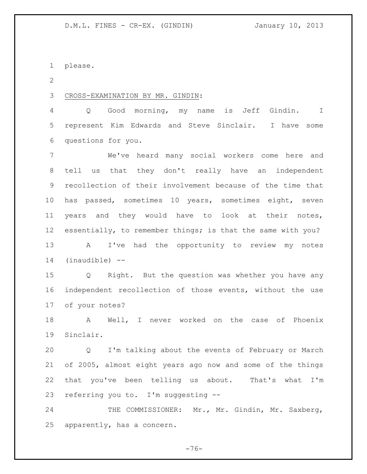please.

 $\mathcal{P}$ 

CROSS-EXAMINATION BY MR. GINDIN:

 Q Good morning, my name is Jeff Gindin. I represent Kim Edwards and Steve Sinclair. I have some questions for you.

 We've heard many social workers come here and tell us that they don't really have an independent recollection of their involvement because of the time that has passed, sometimes 10 years, sometimes eight, seven years and they would have to look at their notes, essentially, to remember things; is that the same with you? A I've had the opportunity to review my notes (inaudible) --

 Q Right. But the question was whether you have any independent recollection of those events, without the use of your notes?

 A Well, I never worked on the case of Phoenix Sinclair.

 Q I'm talking about the events of February or March of 2005, almost eight years ago now and some of the things that you've been telling us about. That's what I'm referring you to. I'm suggesting --

24 THE COMMISSIONER: Mr., Mr. Gindin, Mr. Saxberg, apparently, has a concern.

 $-76-$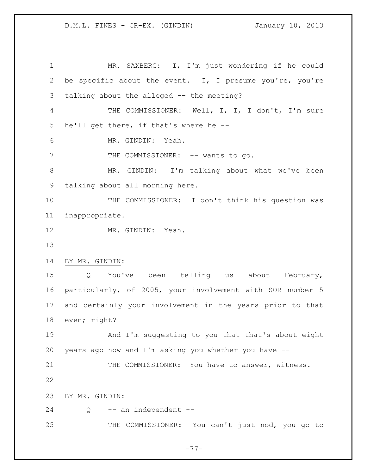MR. SAXBERG: I, I'm just wondering if he could be specific about the event. I, I presume you're, you're talking about the alleged -- the meeting? THE COMMISSIONER: Well, I, I, I don't, I'm sure he'll get there, if that's where he -- MR. GINDIN: Yeah. 7 THE COMMISSIONER: -- wants to go. MR. GINDIN: I'm talking about what we've been talking about all morning here. THE COMMISSIONER: I don't think his question was inappropriate. MR. GINDIN: Yeah. BY MR. GINDIN: Q You've been telling us about February, particularly, of 2005, your involvement with SOR number 5 and certainly your involvement in the years prior to that even; right? And I'm suggesting to you that that's about eight years ago now and I'm asking you whether you have -- 21 THE COMMISSIONER: You have to answer, witness. BY MR. GINDIN: Q  $-$  an independent  $-$ 25 THE COMMISSIONER: You can't just nod, you go to

 $-77-$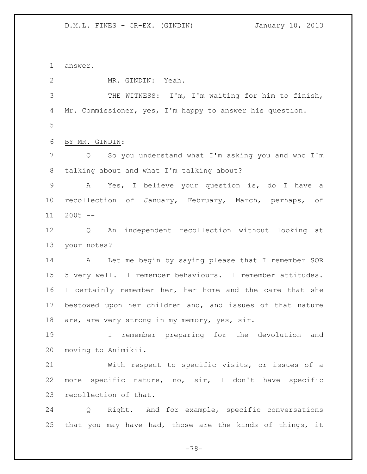answer.

MR. GINDIN: Yeah.

 THE WITNESS: I'm, I'm waiting for him to finish, Mr. Commissioner, yes, I'm happy to answer his question.

BY MR. GINDIN:

 Q So you understand what I'm asking you and who I'm talking about and what I'm talking about?

 A Yes, I believe your question is, do I have a recollection of January, February, March, perhaps, of  $11 \quad 2005 \quad --$ 

 Q An independent recollection without looking at your notes?

 A Let me begin by saying please that I remember SOR 5 very well. I remember behaviours. I remember attitudes. 16 I certainly remember her, her home and the care that she bestowed upon her children and, and issues of that nature 18 are, are very strong in my memory, yes, sir.

 I remember preparing for the devolution and moving to Animikii.

 With respect to specific visits, or issues of a more specific nature, no, sir, I don't have specific recollection of that.

 Q Right. And for example, specific conversations that you may have had, those are the kinds of things, it

 $-78-$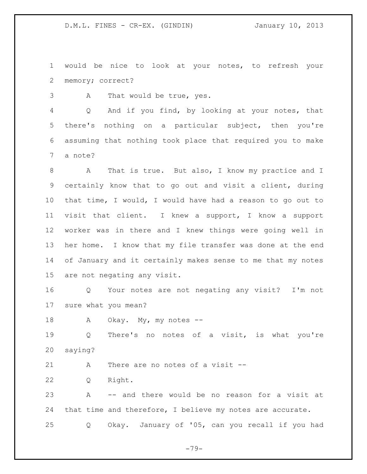would be nice to look at your notes, to refresh your memory; correct?

A That would be true, yes.

 Q And if you find, by looking at your notes, that there's nothing on a particular subject, then you're assuming that nothing took place that required you to make a note?

 A That is true. But also, I know my practice and I certainly know that to go out and visit a client, during that time, I would, I would have had a reason to go out to visit that client. I knew a support, I know a support worker was in there and I knew things were going well in her home. I know that my file transfer was done at the end of January and it certainly makes sense to me that my notes are not negating any visit.

 Q Your notes are not negating any visit? I'm not sure what you mean?

A Okay. My, my notes --

 Q There's no notes of a visit, is what you're saying?

21 A There are no notes of a visit --

Q Right.

 A -- and there would be no reason for a visit at that time and therefore, I believe my notes are accurate. Q Okay. January of '05, can you recall if you had

 $-79-$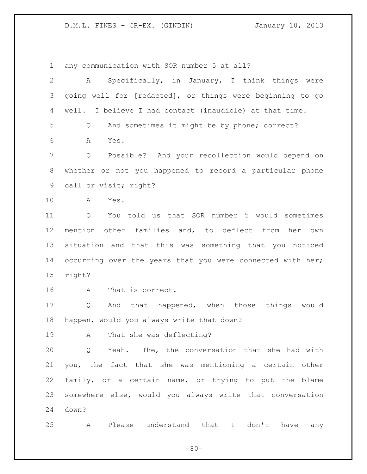any communication with SOR number 5 at all?

| $\overline{2}$ | Specifically, in January, I think things were<br>A         |
|----------------|------------------------------------------------------------|
| 3              | going well for [redacted], or things were beginning to go  |
| 4              | well. I believe I had contact (inaudible) at that time.    |
| 5              | And sometimes it might be by phone; correct?<br>Q          |
| 6              | A<br>Yes.                                                  |
| 7              | Q<br>Possible? And your recollection would depend on       |
| 8              | whether or not you happened to record a particular phone   |
| 9              | call or visit; right?                                      |
| 10             | A<br>Yes.                                                  |
| 11             | You told us that SOR number 5 would sometimes<br>Q         |
| 12             | mention other families and, to deflect from her<br>own     |
| 13             | situation and that this was something that you noticed     |
| 14             | occurring over the years that you were connected with her; |
| 15             | right?                                                     |
| 16             | That is correct.<br>A                                      |
| 17             | And that happened, when those things<br>would<br>Q         |
| 18             | happen, would you always write that down?                  |
| 19             | That she was deflecting?<br>Α                              |
| 20             | Q Yeah. The, the conversation that she had with            |
| 21             | you, the fact that she was mentioning a certain other      |
| 22             | family, or a certain name, or trying to put the blame      |
| 23             | somewhere else, would you always write that conversation   |
| 24             | down?                                                      |
| 25             | Please understand that I don't have any<br>A               |

 $-80-$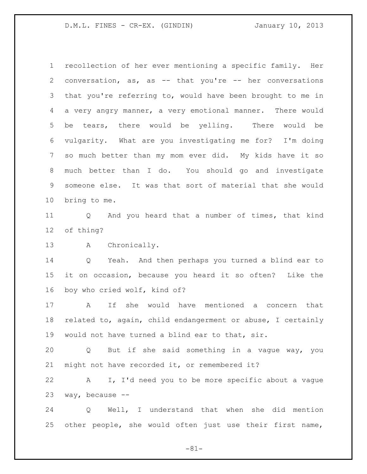recollection of her ever mentioning a specific family. Her conversation, as, as -- that you're -- her conversations that you're referring to, would have been brought to me in a very angry manner, a very emotional manner. There would be tears, there would be yelling. There would be vulgarity. What are you investigating me for? I'm doing so much better than my mom ever did. My kids have it so much better than I do. You should go and investigate someone else. It was that sort of material that she would bring to me.

 Q And you heard that a number of times, that kind of thing?

A Chronically.

 Q Yeah. And then perhaps you turned a blind ear to it on occasion, because you heard it so often? Like the boy who cried wolf, kind of?

 A If she would have mentioned a concern that related to, again, child endangerment or abuse, I certainly would not have turned a blind ear to that, sir.

 Q But if she said something in a vague way, you might not have recorded it, or remembered it?

 A I, I'd need you to be more specific about a vague way, because --

 Q Well, I understand that when she did mention other people, she would often just use their first name,

 $-81-$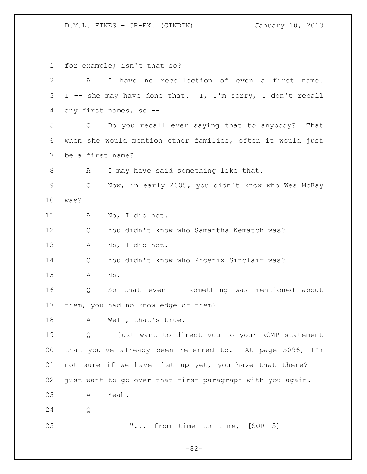for example; isn't that so? A I have no recollection of even a first name. I -- she may have done that. I, I'm sorry, I don't recall any first names, so -- Q Do you recall ever saying that to anybody? That when she would mention other families, often it would just be a first name? A I may have said something like that. Q Now, in early 2005, you didn't know who Wes McKay was? A No, I did not. Q You didn't know who Samantha Kematch was? A No, I did not. 14 O You didn't know who Phoenix Sinclair was? A No. Q So that even if something was mentioned about them, you had no knowledge of them? A Well, that's true. Q I just want to direct you to your RCMP statement that you've already been referred to. At page 5096, I'm not sure if we have that up yet, you have that there? I just want to go over that first paragraph with you again. A Yeah. Q **"...** from time to time, [SOR 5]

 $-82-$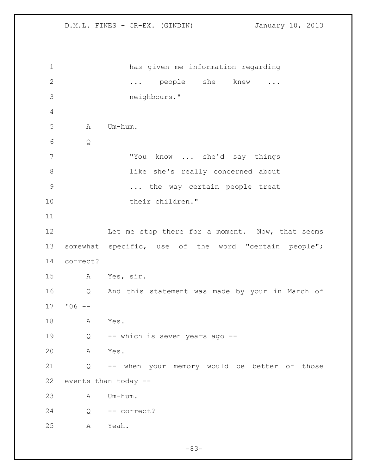has given me information regarding 2 ... people she knew ... neighbours." A Um-hum. Q "You know ... she'd say things 8 like she's really concerned about ... the way certain people treat 10 their children." 12 Let me stop there for a moment. Now, that seems somewhat specific, use of the word "certain people"; correct? A Yes, sir. Q And this statement was made by your in March of '06 -- A Yes. Q -- which is seven years ago -- A Yes. Q -- when your memory would be better of those events than today -- A Um-hum. Q -- correct? A Yeah.

 $-83-$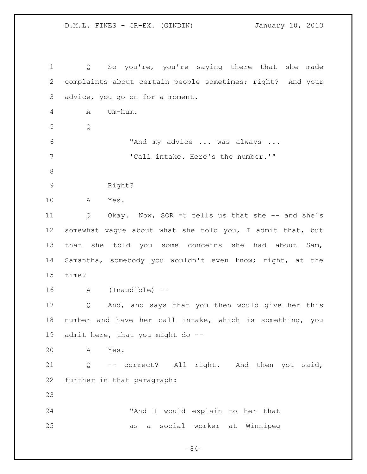Q So you're, you're saying there that she made complaints about certain people sometimes; right? And your advice, you go on for a moment. A Um-hum. Q "And my advice ... was always ... 7 The state of Call intake. Here's the number.'" 9 Right? A Yes. Q Okay. Now, SOR #5 tells us that she -- and she's somewhat vague about what she told you, I admit that, but that she told you some concerns she had about Sam, Samantha, somebody you wouldn't even know; right, at the time? A (Inaudible) -- Q And, and says that you then would give her this number and have her call intake, which is something, you admit here, that you might do -- A Yes. Q -- correct? All right. And then you said, further in that paragraph: "And I would explain to her that as a social worker at Winnipeg

 $-84-$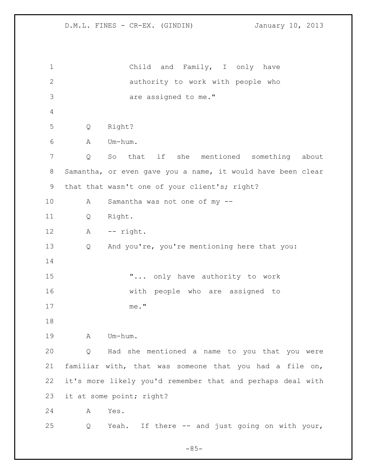Child and Family, I only have authority to work with people who are assigned to me." Q Right? A Um-hum. Q So that if she mentioned something about Samantha, or even gave you a name, it would have been clear that that wasn't one of your client's; right? A Samantha was not one of my -- Q Right. A -- right. Q And you're, you're mentioning here that you: **"...** only have authority to work with people who are assigned to me." A Um-hum. Q Had she mentioned a name to you that you were familiar with, that was someone that you had a file on, it's more likely you'd remember that and perhaps deal with it at some point; right? A Yes. Q Yeah. If there -- and just going on with your,

 $-85-$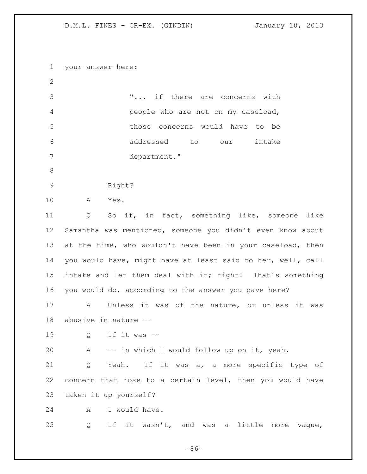your answer here: "... if there are concerns with people who are not on my caseload, those concerns would have to be addressed to our intake department." Right? A Yes. Q So if, in fact, something like, someone like Samantha was mentioned, someone you didn't even know about 13 at the time, who wouldn't have been in your caseload, then you would have, might have at least said to her, well, call intake and let them deal with it; right? That's something you would do, according to the answer you gave here? A Unless it was of the nature, or unless it was abusive in nature -- Q If it was -- A -- in which I would follow up on it, yeah. Q Yeah. If it was a, a more specific type of concern that rose to a certain level, then you would have taken it up yourself? A I would have. Q If it wasn't, and was a little more vague,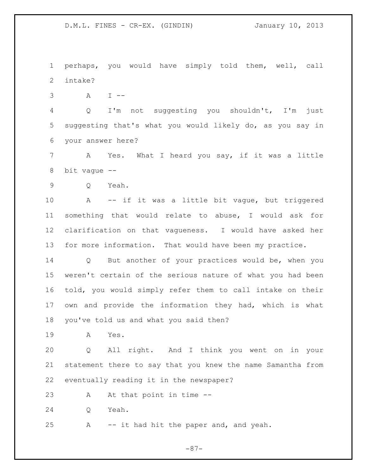perhaps, you would have simply told them, well, call intake?

A I --

 Q I'm not suggesting you shouldn't, I'm just suggesting that's what you would likely do, as you say in your answer here?

 A Yes. What I heard you say, if it was a little bit vague --

Q Yeah.

 A -- if it was a little bit vague, but triggered something that would relate to abuse, I would ask for clarification on that vagueness. I would have asked her for more information. That would have been my practice.

 Q But another of your practices would be, when you weren't certain of the serious nature of what you had been told, you would simply refer them to call intake on their own and provide the information they had, which is what you've told us and what you said then?

A Yes.

 Q All right. And I think you went on in your statement there to say that you knew the name Samantha from eventually reading it in the newspaper?

23 A At that point in time --

Q Yeah.

A -- it had hit the paper and, and yeah.

 $-87-$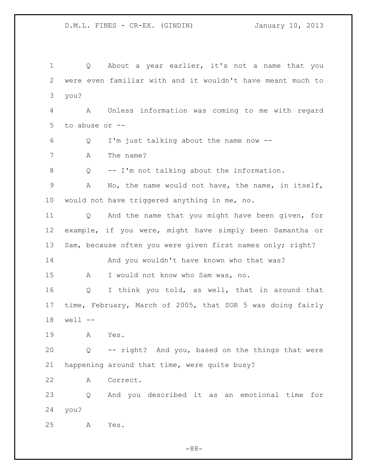1 Q About a year earlier, it's not a name that you were even familiar with and it wouldn't have meant much to you? A Unless information was coming to me with regard to abuse or -- Q I'm just talking about the name now -- 7 A The name? Q -- I'm not talking about the information. A No, the name would not have, the name, in itself, would not have triggered anything in me, no. Q And the name that you might have been given, for example, if you were, might have simply been Samantha or 13 Sam, because often you were given first names only; right? 14 And you wouldn't have known who that was? A I would not know who Sam was, no. Q I think you told, as well, that in around that time, February, March of 2005, that SOR 5 was doing fairly well -- A Yes. Q -- right? And you, based on the things that were happening around that time, were quite busy? A Correct. Q And you described it as an emotional time for you? A Yes.

 $-88-$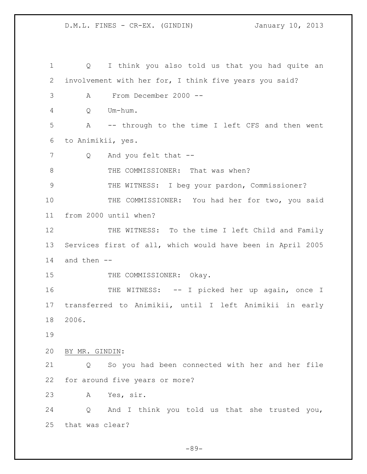Q I think you also told us that you had quite an involvement with her for, I think five years you said? A From December 2000 -- Q Um-hum. A -- through to the time I left CFS and then went to Animikii, yes. 7 Q And you felt that --8 THE COMMISSIONER: That was when? THE WITNESS: I beg your pardon, Commissioner? THE COMMISSIONER: You had her for two, you said from 2000 until when? 12 THE WITNESS: To the time I left Child and Family Services first of all, which would have been in April 2005 and then -- 15 THE COMMISSIONER: Okay. 16 THE WITNESS: -- I picked her up again, once I transferred to Animikii, until I left Animikii in early 2006. BY MR. GINDIN: Q So you had been connected with her and her file for around five years or more? A Yes, sir. Q And I think you told us that she trusted you, that was clear?

 $-89-$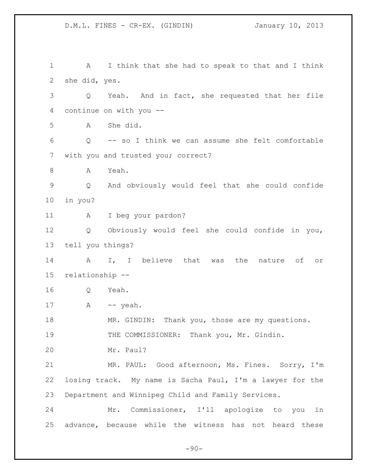D.M.L. FINES - CR-EX. (GINDIN) January 10, 2013 A I think that she had to speak to that and I think she did, yes. Q Yeah. And in fact, she requested that her file continue on with you -- A She did. Q -- so I think we can assume she felt comfortable with you and trusted you; correct? A Yeah. Q And obviously would feel that she could confide in you? A I beg your pardon? Q Obviously would feel she could confide in you, tell you things? 14 A I, I believe that was the nature of or relationship -- Q Yeah. 17 A -- yeah. 18 MR. GINDIN: Thank you, those are my questions. 19 THE COMMISSIONER: Thank you, Mr. Gindin.

Mr. Paul?

 MR. PAUL: Good afternoon, Ms. Fines. Sorry, I'm losing track. My name is Sacha Paul, I'm a lawyer for the Department and Winnipeg Child and Family Services.

 Mr. Commissioner, I'll apologize to you in advance, because while the witness has not heard these

 $-90-$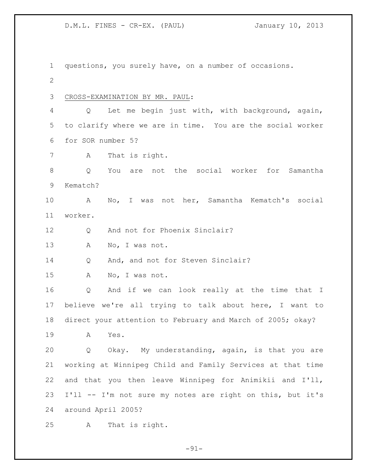questions, you surely have, on a number of occasions. CROSS-EXAMINATION BY MR. PAUL: Q Let me begin just with, with background, again, to clarify where we are in time. You are the social worker for SOR number 5? A That is right. Q You are not the social worker for Samantha Kematch? A No, I was not her, Samantha Kematch's social worker. 12 Q And not for Phoenix Sinclair? 13 A No, I was not. 14 Q And, and not for Steven Sinclair? A No, I was not. Q And if we can look really at the time that I believe we're all trying to talk about here, I want to direct your attention to February and March of 2005; okay? A Yes. Q Okay. My understanding, again, is that you are working at Winnipeg Child and Family Services at that time and that you then leave Winnipeg for Animikii and I'll, I'll -- I'm not sure my notes are right on this, but it's around April 2005? A That is right.

 $-91-$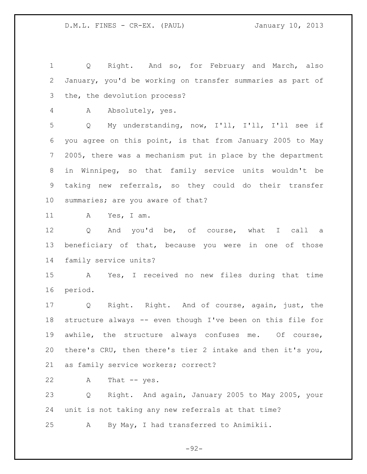Q Right. And so, for February and March, also January, you'd be working on transfer summaries as part of the, the devolution process?

A Absolutely, yes.

 Q My understanding, now, I'll, I'll, I'll see if you agree on this point, is that from January 2005 to May 2005, there was a mechanism put in place by the department in Winnipeg, so that family service units wouldn't be taking new referrals, so they could do their transfer summaries; are you aware of that?

A Yes, I am.

 Q And you'd be, of course, what I call a beneficiary of that, because you were in one of those family service units?

 A Yes, I received no new files during that time period.

 Q Right. Right. And of course, again, just, the structure always -- even though I've been on this file for awhile, the structure always confuses me. Of course, there's CRU, then there's tier 2 intake and then it's you, as family service workers; correct?

22 A That -- yes.

 Q Right. And again, January 2005 to May 2005, your unit is not taking any new referrals at that time?

A By May, I had transferred to Animikii.

 $-92-$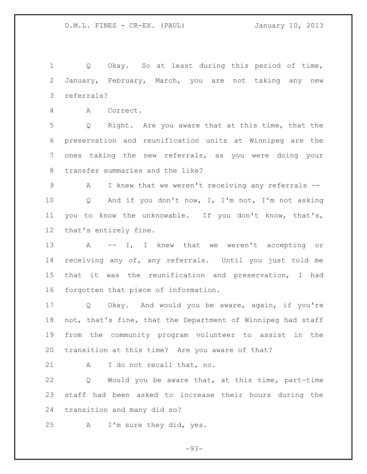Q Okay. So at least during this period of time, January, February, March, you are not taking any new referrals?

A Correct.

 Q Right. Are you aware that at this time, that the preservation and reunification units at Winnipeg are the ones taking the new referrals, as you were doing your transfer summaries and the like?

 A I knew that we weren't receiving any referrals -- Q And if you don't now, I, I'm not, I'm not asking you to know the unknowable. If you don't know, that's, that's entirely fine.

13 A -- I, I knew that we weren't accepting or receiving any of, any referrals. Until you just told me that it was the reunification and preservation, I had forgotten that piece of information.

 Q Okay. And would you be aware, again, if you're not, that's fine, that the Department of Winnipeg had staff from the community program volunteer to assist in the transition at this time? Are you aware of that?

21 A I do not recall that, no.

 Q Would you be aware that, at this time, part-time staff had been asked to increase their hours during the transition and many did so?

A I'm sure they did, yes.

 $-93-$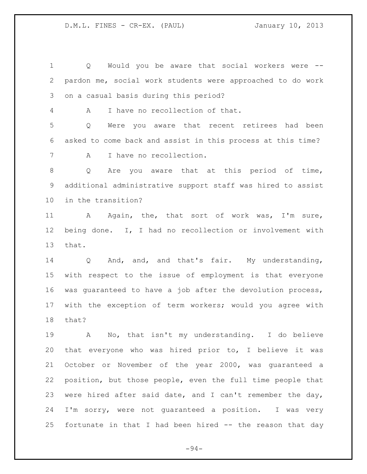Q Would you be aware that social workers were -- pardon me, social work students were approached to do work on a casual basis during this period?

A I have no recollection of that.

 Q Were you aware that recent retirees had been asked to come back and assist in this process at this time? A I have no recollection.

 Q Are you aware that at this period of time, additional administrative support staff was hired to assist in the transition?

 A Again, the, that sort of work was, I'm sure, being done. I, I had no recollection or involvement with that.

 Q And, and, and that's fair. My understanding, with respect to the issue of employment is that everyone was guaranteed to have a job after the devolution process, with the exception of term workers; would you agree with that?

 A No, that isn't my understanding. I do believe that everyone who was hired prior to, I believe it was October or November of the year 2000, was guaranteed a position, but those people, even the full time people that were hired after said date, and I can't remember the day, I'm sorry, were not guaranteed a position. I was very fortunate in that I had been hired -- the reason that day

 $-94-$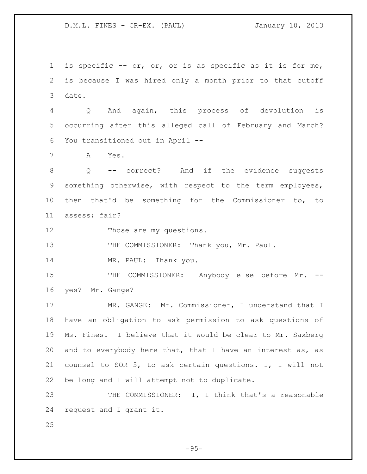is specific -- or, or, or is as specific as it is for me, is because I was hired only a month prior to that cutoff date.

 Q And again, this process of devolution is occurring after this alleged call of February and March? You transitioned out in April --

A Yes.

8 0 -- correct? And if the evidence suggests something otherwise, with respect to the term employees, then that'd be something for the Commissioner to, to assess; fair?

12 Those are my questions.

13 THE COMMISSIONER: Thank you, Mr. Paul.

14 MR. PAUL: Thank you.

15 THE COMMISSIONER: Anybody else before Mr. --yes? Mr. Gange?

 MR. GANGE: Mr. Commissioner, I understand that I have an obligation to ask permission to ask questions of Ms. Fines. I believe that it would be clear to Mr. Saxberg 20 and to everybody here that, that I have an interest as, as counsel to SOR 5, to ask certain questions. I, I will not be long and I will attempt not to duplicate.

23 THE COMMISSIONER: I, I think that's a reasonable request and I grant it.

 $-95-$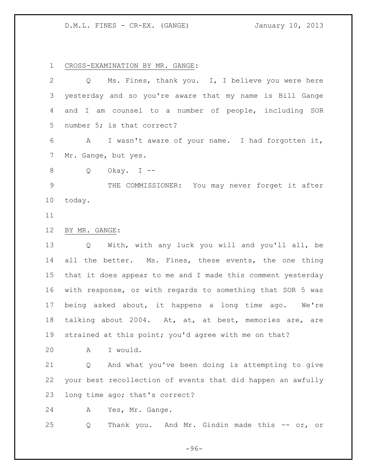CROSS-EXAMINATION BY MR. GANGE:

| $\overline{2}$ | Ms. Fines, thank you. I, I believe you were here<br>$Q \qquad$   |
|----------------|------------------------------------------------------------------|
| 3              | yesterday and so you're aware that my name is Bill Gange         |
| 4              | and I am counsel to a number of people, including SOR            |
| 5              | number 5; is that correct?                                       |
| 6              | I wasn't aware of your name. I had forgotten it,<br>$\mathbf{A}$ |
| 7              | Mr. Gange, but yes.                                              |
| 8              | Okay. $I$ --<br>Q                                                |
| $\mathcal{G}$  | THE COMMISSIONER: You may never forget it after                  |
| 10             | today.                                                           |
| 11             |                                                                  |
| 12             | BY MR. GANGE:                                                    |
| 13             | Q With, with any luck you will and you'll all, be                |
| 14             | all the better. Ms. Fines, these events, the one thing           |
| 15             | that it does appear to me and I made this comment yesterday      |
| 16             | with response, or with regards to something that SOR 5 was       |
| 17             | being asked about, it happens a long time ago.<br>We're          |
| 18             | talking about 2004. At, at, at best, memories are, are           |
| 19             | strained at this point; you'd agree with me on that?             |
| 20             | A I would.                                                       |
| 21             | And what you've been doing is attempting to give<br>Q            |
| 22             | your best recollection of events that did happen an awfully      |
| 23             | long time ago; that's correct?                                   |
| 24             | Yes, Mr. Gange.<br>A                                             |
| 25             | Thank you. And Mr. Gindin made this -- or, or<br>Q               |

 $-96-$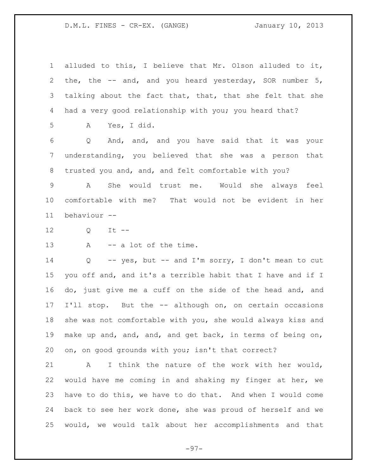alluded to this, I believe that Mr. Olson alluded to it, the, the -- and, and you heard yesterday, SOR number 5, talking about the fact that, that, that she felt that she had a very good relationship with you; you heard that?

A Yes, I did.

 Q And, and, and you have said that it was your understanding, you believed that she was a person that trusted you and, and, and felt comfortable with you?

 A She would trust me. Would she always feel comfortable with me? That would not be evident in her behaviour --

Q It --

13 A -- a lot of the time.

 Q -- yes, but -- and I'm sorry, I don't mean to cut you off and, and it's a terrible habit that I have and if I do, just give me a cuff on the side of the head and, and I'll stop. But the -- although on, on certain occasions she was not comfortable with you, she would always kiss and make up and, and, and, and get back, in terms of being on, on, on good grounds with you; isn't that correct?

 A I think the nature of the work with her would, would have me coming in and shaking my finger at her, we have to do this, we have to do that. And when I would come back to see her work done, she was proud of herself and we would, we would talk about her accomplishments and that

 $-97-$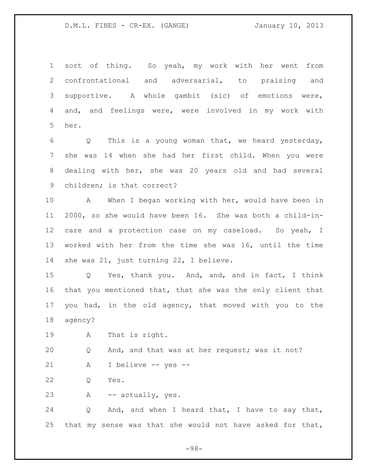sort of thing. So yeah, my work with her went from confrontational and adversarial, to praising and supportive. A whole gambit (sic) of emotions were, and, and feelings were, were involved in my work with her.

 Q This is a young woman that, we heard yesterday, she was 14 when she had her first child. When you were dealing with her, she was 20 years old and had several children; is that correct?

 A When I began working with her, would have been in 2000, so she would have been 16. She was both a child-in-12 care and a protection case on my caseload. So yeah, I worked with her from the time she was 16, until the time 14 she was 21, just turning 22, I believe.

 Q Yes, thank you. And, and, and in fact, I think that you mentioned that, that she was the only client that you had, in the old agency, that moved with you to the agency?

A That is right.

Q And, and that was at her request; was it not?

- A I believe -- yes --
- Q Yes.

A -- actually, yes.

 Q And, and when I heard that, I have to say that, that my sense was that she would not have asked for that,

 $-98-$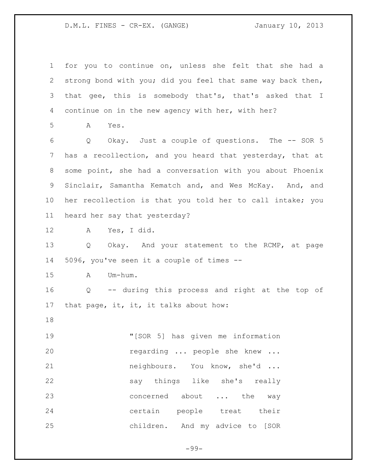for you to continue on, unless she felt that she had a strong bond with you; did you feel that same way back then, that gee, this is somebody that's, that's asked that I continue on in the new agency with her, with her? A Yes. Q Okay. Just a couple of questions. The -- SOR 5 has a recollection, and you heard that yesterday, that at some point, she had a conversation with you about Phoenix Sinclair, Samantha Kematch and, and Wes McKay. And, and her recollection is that you told her to call intake; you heard her say that yesterday? A Yes, I did. 13 Q Okay. And your statement to the RCMP, at page 5096, you've seen it a couple of times -- A Um-hum. Q -- during this process and right at the top of that page, it, it, it talks about how: "[SOR 5] has given me information regarding ... people she knew ... neighbours. You know, she'd ... say things like she's really 23 concerned about ... the way certain people treat their children. And my advice to [SOR

 $-99-$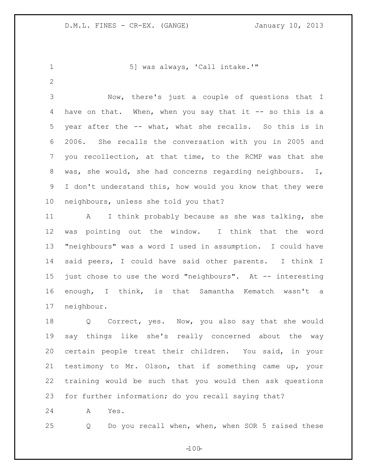1 5] was always, 'Call intake.'"

 Now, there's just a couple of questions that I 4 have on that. When, when you say that it -- so this is a year after the -- what, what she recalls. So this is in 2006. She recalls the conversation with you in 2005 and you recollection, at that time, to the RCMP was that she was, she would, she had concerns regarding neighbours. I, I don't understand this, how would you know that they were neighbours, unless she told you that?

 A I think probably because as she was talking, she was pointing out the window. I think that the word "neighbours" was a word I used in assumption. I could have said peers, I could have said other parents. I think I just chose to use the word "neighbours". At -- interesting enough, I think, is that Samantha Kematch wasn't a neighbour.

 Q Correct, yes. Now, you also say that she would say things like she's really concerned about the way certain people treat their children. You said, in your testimony to Mr. Olson, that if something came up, your training would be such that you would then ask questions for further information; do you recall saying that?

A Yes.

Q Do you recall when, when, when SOR 5 raised these

 $-100-$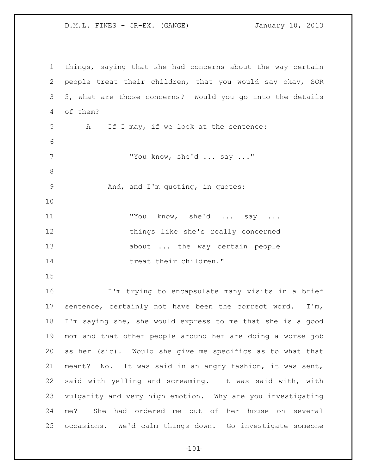things, saying that she had concerns about the way certain people treat their children, that you would say okay, SOR 5, what are those concerns? Would you go into the details of them? A If I may, if we look at the sentence: "You know, she'd ... say ..." 9 And, and I'm quoting, in quotes: "You know, she'd ... say ... things like she's really concerned about ... the way certain people 14 treat their children." I'm trying to encapsulate many visits in a brief sentence, certainly not have been the correct word. I'm, I'm saying she, she would express to me that she is a good mom and that other people around her are doing a worse job as her (sic). Would she give me specifics as to what that meant? No. It was said in an angry fashion, it was sent, said with yelling and screaming. It was said with, with vulgarity and very high emotion. Why are you investigating me? She had ordered me out of her house on several occasions. We'd calm things down. Go investigate someone

 $-101-$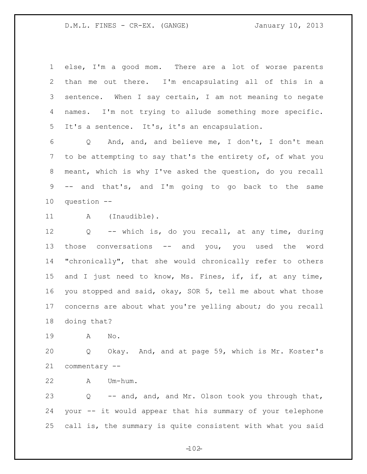else, I'm a good mom. There are a lot of worse parents than me out there. I'm encapsulating all of this in a sentence. When I say certain, I am not meaning to negate names. I'm not trying to allude something more specific. It's a sentence. It's, it's an encapsulation.

 Q And, and, and believe me, I don't, I don't mean to be attempting to say that's the entirety of, of what you meant, which is why I've asked the question, do you recall -- and that's, and I'm going to go back to the same question --

11 A (Inaudible).

 Q -- which is, do you recall, at any time, during those conversations -- and you, you used the word "chronically", that she would chronically refer to others and I just need to know, Ms. Fines, if, if, at any time, you stopped and said, okay, SOR 5, tell me about what those concerns are about what you're yelling about; do you recall doing that?

A No.

 Q Okay. And, and at page 59, which is Mr. Koster's commentary --

A Um-hum.

 Q -- and, and, and Mr. Olson took you through that, your -- it would appear that his summary of your telephone call is, the summary is quite consistent with what you said

 $-102 -$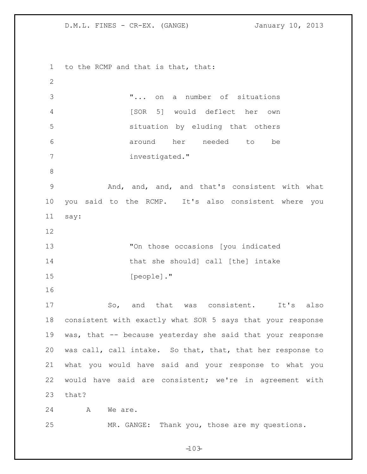to the RCMP and that is that, that: "... on a number of situations [SOR 5] would deflect her own situation by eluding that others around her needed to be investigated." And, and, and, and that's consistent with what you said to the RCMP. It's also consistent where you say: "On those occasions [you indicated 14 that she should] call [the] intake [people]." 17 So, and that was consistent. It's also consistent with exactly what SOR 5 says that your response was, that -- because yesterday she said that your response was call, call intake. So that, that, that her response to what you would have said and your response to what you would have said are consistent; we're in agreement with that? 24 A We are. MR. GANGE: Thank you, those are my questions.

 $-103-$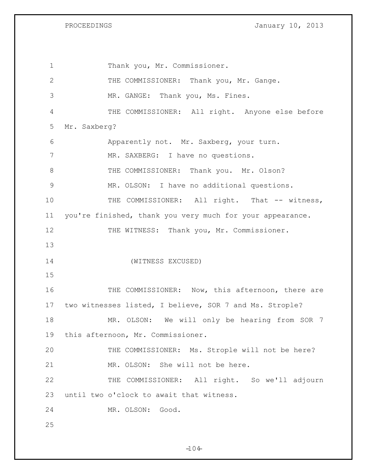PROCEEDINGS **January 10, 2013** 

1 Thank you, Mr. Commissioner. THE COMMISSIONER: Thank you, Mr. Gange. MR. GANGE: Thank you, Ms. Fines. THE COMMISSIONER: All right. Anyone else before Mr. Saxberg? Apparently not. Mr. Saxberg, your turn. MR. SAXBERG: I have no questions. 8 THE COMMISSIONER: Thank you. Mr. Olson? MR. OLSON: I have no additional questions. 10 THE COMMISSIONER: All right. That -- witness, you're finished, thank you very much for your appearance. 12 THE WITNESS: Thank you, Mr. Commissioner. (WITNESS EXCUSED) 16 THE COMMISSIONER: Now, this afternoon, there are two witnesses listed, I believe, SOR 7 and Ms. Strople? MR. OLSON: We will only be hearing from SOR 7 this afternoon, Mr. Commissioner. 20 THE COMMISSIONER: Ms. Strople will not be here? MR. OLSON: She will not be here. THE COMMISSIONER: All right. So we'll adjourn until two o'clock to await that witness. MR. OLSON: Good. 

 $-104$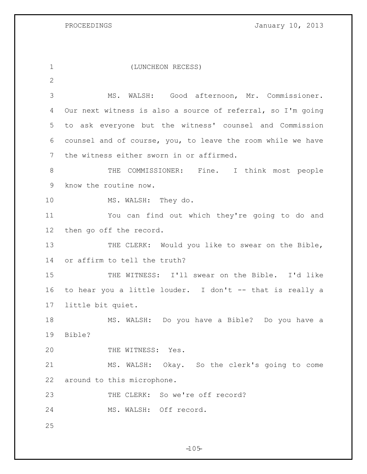PROCEEDINGS **January 10, 2013** 

 (LUNCHEON RECESS)  $\mathcal{P}$  MS. WALSH: Good afternoon, Mr. Commissioner. Our next witness is also a source of referral, so I'm going to ask everyone but the witness' counsel and Commission counsel and of course, you, to leave the room while we have the witness either sworn in or affirmed. 8 THE COMMISSIONER: Fine. I think most people know the routine now. 10 MS. WALSH: They do. You can find out which they're going to do and then go off the record. 13 THE CLERK: Would you like to swear on the Bible, or affirm to tell the truth? THE WITNESS: I'll swear on the Bible. I'd like to hear you a little louder. I don't -- that is really a little bit quiet. MS. WALSH: Do you have a Bible? Do you have a Bible? THE WITNESS: Yes. MS. WALSH: Okay. So the clerk's going to come around to this microphone. 23 THE CLERK: So we're off record? MS. WALSH: Off record. 

 $-105 -$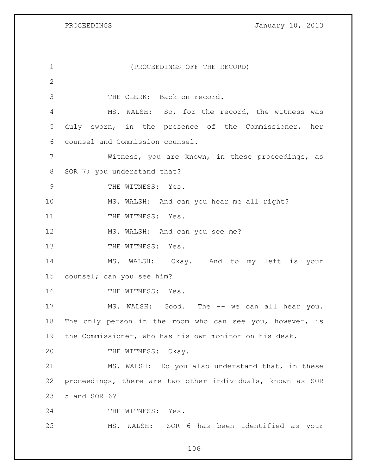PROCEEDINGS **January 10, 2013** 

| $\mathbf 1$     | (PROCEEDINGS OFF THE RECORD)                               |
|-----------------|------------------------------------------------------------|
| $\mathbf{2}$    |                                                            |
| 3               | THE CLERK: Back on record.                                 |
| 4               | MS. WALSH: So, for the record, the witness was             |
| 5               | duly sworn, in the presence of the Commissioner, her       |
| 6               | counsel and Commission counsel.                            |
| 7               | Witness, you are known, in these proceedings, as           |
| 8               | SOR 7; you understand that?                                |
| $\mathcal{G}$   | THE WITNESS: Yes.                                          |
| 10              | MS. WALSH: And can you hear me all right?                  |
| 11              | THE WITNESS: Yes.                                          |
| 12              | MS. WALSH: And can you see me?                             |
| 13              | THE WITNESS: Yes.                                          |
| 14              | MS. WALSH: Okay. And to my left is your                    |
| 15 <sub>2</sub> | counsel; can you see him?                                  |
| 16              | THE WITNESS: Yes.                                          |
| 17              | MS. WALSH: Good. The -- we can all hear you.               |
| 18              | The only person in the room who can see you, however, is   |
| 19              | the Commissioner, who has his own monitor on his desk.     |
| 20              | THE WITNESS: Okay.                                         |
| 21              | MS. WALSH: Do you also understand that, in these           |
| 22              | proceedings, there are two other individuals, known as SOR |
| 23              | 5 and SOR 6?                                               |
| 24              | THE WITNESS: Yes.                                          |
| 25              | SOR 6 has been identified as your<br>MS.<br>WALSH:         |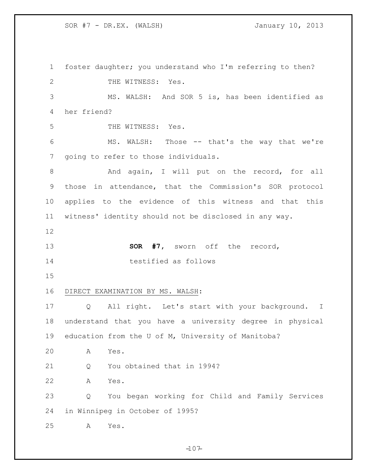foster daughter; you understand who I'm referring to then? 2 THE WITNESS: Yes. MS. WALSH: And SOR 5 is, has been identified as her friend? THE WITNESS: Yes. MS. WALSH: Those -- that's the way that we're going to refer to those individuals. 8 And again, I will put on the record, for all those in attendance, that the Commission's SOR protocol applies to the evidence of this witness and that this witness' identity should not be disclosed in any way. **SOR #7,** sworn off the record, testified as follows DIRECT EXAMINATION BY MS. WALSH: Q All right. Let's start with your background. I understand that you have a university degree in physical education from the U of M, University of Manitoba? A Yes. 21 O You obtained that in 1994? A Yes. Q You began working for Child and Family Services in Winnipeg in October of 1995? A Yes.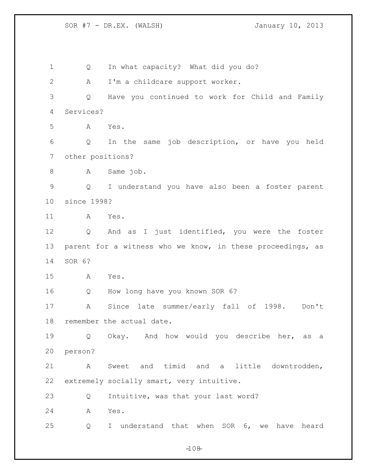1 Q In what capacity? What did you do? A I'm a childcare support worker. Q Have you continued to work for Child and Family Services? A Yes. Q In the same job description, or have you held other positions? A Same job. Q I understand you have also been a foster parent since 1998? A Yes. Q And as I just identified, you were the foster parent for a witness who we know, in these proceedings, as SOR 6? A Yes. Q How long have you known SOR 6? A Since late summer/early fall of 1998. Don't remember the actual date. Q Okay. And how would you describe her, as a person? A Sweet and timid and a little downtrodden, extremely socially smart, very intuitive. Q Intuitive, was that your last word? A Yes. Q I understand that when SOR 6, we have heard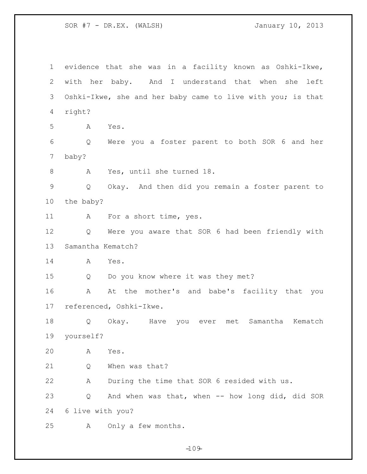evidence that she was in a facility known as Oshki-Ikwe, with her baby. And I understand that when she left Oshki-Ikwe, she and her baby came to live with you; is that right? A Yes. Q Were you a foster parent to both SOR 6 and her baby? A Yes, until she turned 18. Q Okay. And then did you remain a foster parent to the baby? A For a short time, yes. Q Were you aware that SOR 6 had been friendly with Samantha Kematch? A Yes. Q Do you know where it was they met? A At the mother's and babe's facility that you referenced, Oshki-Ikwe. Q Okay. Have you ever met Samantha Kematch yourself? A Yes. 21 O When was that? A During the time that SOR 6 resided with us. Q And when was that, when -- how long did, did SOR 6 live with you? A Only a few months.

 $-109-$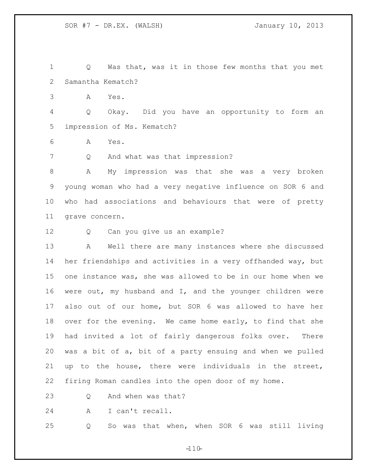Q Was that, was it in those few months that you met Samantha Kematch?

A Yes.

 Q Okay. Did you have an opportunity to form an impression of Ms. Kematch?

A Yes.

Q And what was that impression?

 A My impression was that she was a very broken young woman who had a very negative influence on SOR 6 and who had associations and behaviours that were of pretty grave concern.

Q Can you give us an example?

 A Well there are many instances where she discussed her friendships and activities in a very offhanded way, but one instance was, she was allowed to be in our home when we were out, my husband and I, and the younger children were also out of our home, but SOR 6 was allowed to have her 18 over for the evening. We came home early, to find that she had invited a lot of fairly dangerous folks over. There was a bit of a, bit of a party ensuing and when we pulled up to the house, there were individuals in the street, firing Roman candles into the open door of my home.

23 O And when was that?

A I can't recall.

Q So was that when, when SOR 6 was still living

 $-110-$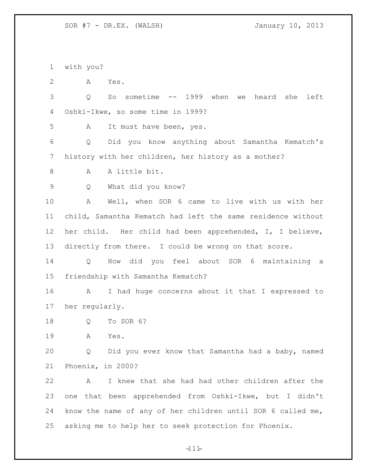with you?

A Yes.

 Q So sometime -- 1999 when we heard she left Oshki-Ikwe, so some time in 1999?

A It must have been, yes.

 Q Did you know anything about Samantha Kematch's history with her children, her history as a mother?

A A little bit.

Q What did you know?

 A Well, when SOR 6 came to live with us with her child, Samantha Kematch had left the same residence without her child. Her child had been apprehended, I, I believe, directly from there. I could be wrong on that score.

 Q How did you feel about SOR 6 maintaining a friendship with Samantha Kematch?

 A I had huge concerns about it that I expressed to her regularly.

Q To SOR 6?

A Yes.

 Q Did you ever know that Samantha had a baby, named Phoenix, in 2000?

 A I knew that she had had other children after the one that been apprehended from Oshki-Ikwe, but I didn't know the name of any of her children until SOR 6 called me, asking me to help her to seek protection for Phoenix.

 $-111-$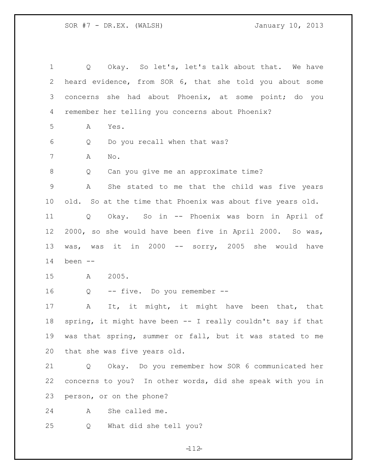| 1               | Okay. So let's, let's talk about that. We have<br>Q         |
|-----------------|-------------------------------------------------------------|
| 2               | heard evidence, from SOR 6, that she told you about some    |
| 3               | concerns she had about Phoenix, at some point; do you       |
| 4               | remember her telling you concerns about Phoenix?            |
| 5               | Α<br>Yes.                                                   |
| 6               | Do you recall when that was?<br>Q                           |
| $7\phantom{.0}$ | Α<br>$\mathbb{N} \circ$ .                                   |
| 8               | Can you give me an approximate time?<br>Q                   |
| $\mathsf 9$     | She stated to me that the child was five years<br>Α         |
| 10 <sub>o</sub> | old. So at the time that Phoenix was about five years old.  |
| 11              | Okay. So in -- Phoenix was born in April of<br>Q            |
| 12 <sup>°</sup> | 2000, so she would have been five in April 2000. So was,    |
| 13              | was, was it in 2000 -- sorry, 2005 she would have           |
| 14              | been --                                                     |
| 15              | 2005.<br>A                                                  |
| 16              | -- five. Do you remember --<br>Q                            |
| 17              | It, it might, it might have been that, that<br>A            |
| 18              | spring, it might have been -- I really couldn't say if that |
| 19              | was that spring, summer or fall, but it was stated to me    |
| 20              | that she was five years old.                                |
| 21              | Okay. Do you remember how SOR 6 communicated her<br>Q       |
| 22              | concerns to you? In other words, did she speak with you in  |
| 23              | person, or on the phone?                                    |
| 24              | She called me.<br>Α                                         |
| 25              | What did she tell you?<br>Q                                 |

 $-112-$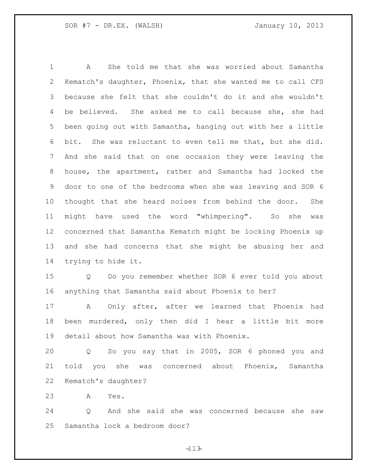A She told me that she was worried about Samantha Kematch's daughter, Phoenix, that she wanted me to call CFS because she felt that she couldn't do it and she wouldn't 4 be believed. She asked me to call because she, she had been going out with Samantha, hanging out with her a little bit. She was reluctant to even tell me that, but she did. And she said that on one occasion they were leaving the house, the apartment, rather and Samantha had locked the door to one of the bedrooms when she was leaving and SOR 6 thought that she heard noises from behind the door. She might have used the word "whimpering". So she was concerned that Samantha Kematch might be locking Phoenix up and she had concerns that she might be abusing her and trying to hide it. Q Do you remember whether SOR 6 ever told you about anything that Samantha said about Phoenix to her?

 A Only after, after we learned that Phoenix had been murdered, only then did I hear a little bit more detail about how Samantha was with Phoenix.

 Q So you say that in 2005, SOR 6 phoned you and told you she was concerned about Phoenix, Samantha Kematch's daughter?

A Yes.

 Q And she said she was concerned because she saw Samantha lock a bedroom door?

 $-113-$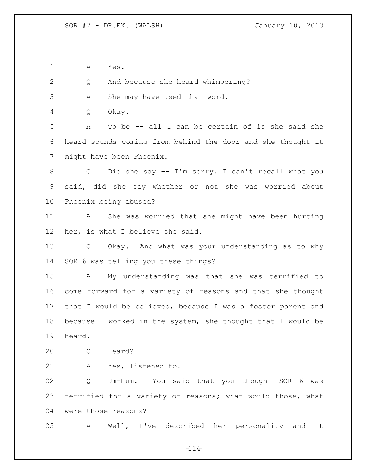A Yes.

Q And because she heard whimpering?

A She may have used that word.

Q Okay.

 A To be -- all I can be certain of is she said she heard sounds coming from behind the door and she thought it might have been Phoenix.

 Q Did she say -- I'm sorry, I can't recall what you said, did she say whether or not she was worried about Phoenix being abused?

 A She was worried that she might have been hurting her, is what I believe she said.

 Q Okay. And what was your understanding as to why SOR 6 was telling you these things?

 A My understanding was that she was terrified to come forward for a variety of reasons and that she thought that I would be believed, because I was a foster parent and because I worked in the system, she thought that I would be heard.

Q Heard?

A Yes, listened to.

 Q Um-hum. You said that you thought SOR 6 was terrified for a variety of reasons; what would those, what were those reasons?

A Well, I've described her personality and it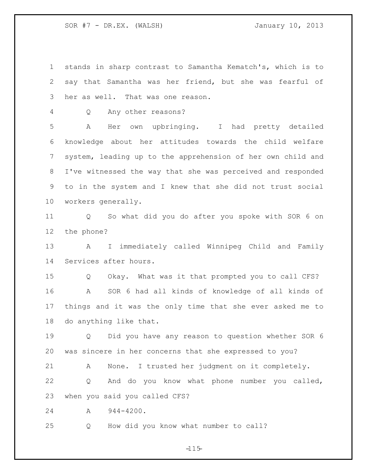stands in sharp contrast to Samantha Kematch's, which is to say that Samantha was her friend, but she was fearful of her as well. That was one reason.

Q Any other reasons?

 A Her own upbringing. I had pretty detailed knowledge about her attitudes towards the child welfare system, leading up to the apprehension of her own child and I've witnessed the way that she was perceived and responded to in the system and I knew that she did not trust social workers generally.

 Q So what did you do after you spoke with SOR 6 on the phone?

 A I immediately called Winnipeg Child and Family Services after hours.

 Q Okay. What was it that prompted you to call CFS? A SOR 6 had all kinds of knowledge of all kinds of things and it was the only time that she ever asked me to do anything like that.

 Q Did you have any reason to question whether SOR 6 was sincere in her concerns that she expressed to you?

 A None. I trusted her judgment on it completely. Q And do you know what phone number you called, when you said you called CFS?

A 944-4200.

Q How did you know what number to call?

 $-115 -$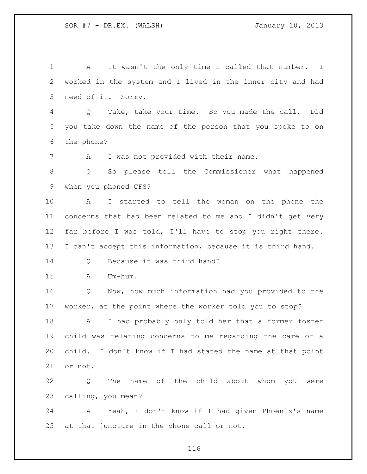A It wasn't the only time I called that number. I worked in the system and I lived in the inner city and had need of it. Sorry. Q Take, take your time. So you made the call. Did you take down the name of the person that you spoke to on the phone? A I was not provided with their name. Q So please tell the Commissioner what happened when you phoned CFS? A I started to tell the woman on the phone the concerns that had been related to me and I didn't get very far before I was told, I'll have to stop you right there. I can't accept this information, because it is third hand. 14 Q Because it was third hand? A Um-hum. Q Now, how much information had you provided to the worker, at the point where the worker told you to stop? A I had probably only told her that a former foster child was relating concerns to me regarding the care of a child. I don't know if I had stated the name at that point or not. Q The name of the child about whom you were calling, you mean? A Yeah, I don't know if I had given Phoenix's name at that juncture in the phone call or not.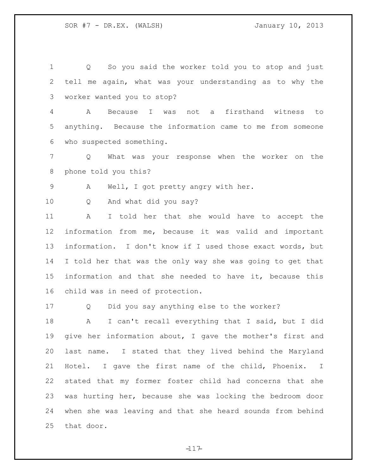Q So you said the worker told you to stop and just tell me again, what was your understanding as to why the worker wanted you to stop?

 A Because I was not a firsthand witness to anything. Because the information came to me from someone who suspected something.

 Q What was your response when the worker on the phone told you this?

A Well, I got pretty angry with her.

Q And what did you say?

 A I told her that she would have to accept the information from me, because it was valid and important information. I don't know if I used those exact words, but I told her that was the only way she was going to get that information and that she needed to have it, because this child was in need of protection.

Q Did you say anything else to the worker?

 A I can't recall everything that I said, but I did give her information about, I gave the mother's first and last name. I stated that they lived behind the Maryland Hotel. I gave the first name of the child, Phoenix. I stated that my former foster child had concerns that she was hurting her, because she was locking the bedroom door when she was leaving and that she heard sounds from behind that door.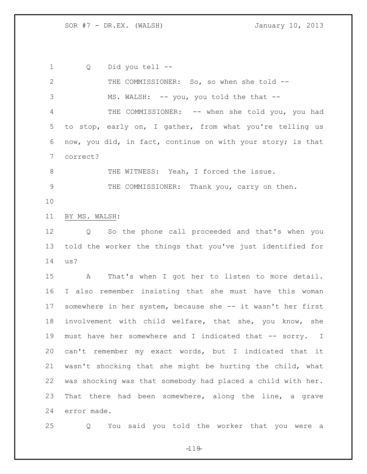Q Did you tell --

 THE COMMISSIONER: So, so when she told -- 3 MS. WALSH: -- you, you told the that -- THE COMMISSIONER: -- when she told you, you had to stop, early on, I gather, from what you're telling us now, you did, in fact, continue on with your story; is that correct? 8 THE WITNESS: Yeah, I forced the issue. THE COMMISSIONER: Thank you, carry on then. BY MS. WALSH: Q So the phone call proceeded and that's when you told the worker the things that you've just identified for us? A That's when I got her to listen to more detail.

 I also remember insisting that she must have this woman somewhere in her system, because she -- it wasn't her first involvement with child welfare, that she, you know, she must have her somewhere and I indicated that -- sorry. I can't remember my exact words, but I indicated that it wasn't shocking that she might be hurting the child, what was shocking was that somebody had placed a child with her. That there had been somewhere, along the line, a grave error made.

Q You said you told the worker that you were a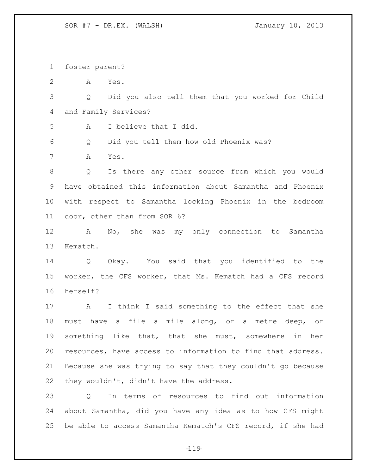foster parent?

A Yes.

 Q Did you also tell them that you worked for Child and Family Services?

A I believe that I did.

Q Did you tell them how old Phoenix was?

A Yes.

 Q Is there any other source from which you would have obtained this information about Samantha and Phoenix with respect to Samantha locking Phoenix in the bedroom door, other than from SOR 6?

 A No, she was my only connection to Samantha Kematch.

 Q Okay. You said that you identified to the worker, the CFS worker, that Ms. Kematch had a CFS record herself?

 A I think I said something to the effect that she must have a file a mile along, or a metre deep, or something like that, that she must, somewhere in her resources, have access to information to find that address. Because she was trying to say that they couldn't go because they wouldn't, didn't have the address.

 Q In terms of resources to find out information about Samantha, did you have any idea as to how CFS might be able to access Samantha Kematch's CFS record, if she had

 $-119-$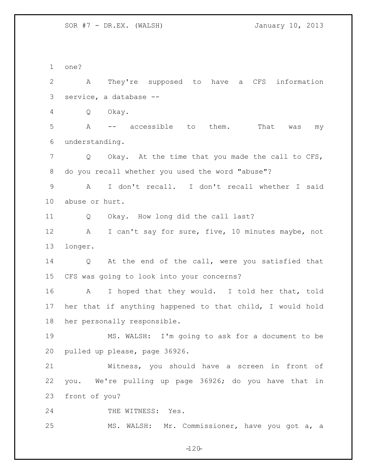one? A They're supposed to have a CFS information service, a database -- Q Okay. A -- accessible to them. That was my understanding. Q Okay. At the time that you made the call to CFS, do you recall whether you used the word "abuse"? A I don't recall. I don't recall whether I said abuse or hurt. Q Okay. How long did the call last? 12 A I can't say for sure, five, 10 minutes maybe, not longer. Q At the end of the call, were you satisfied that CFS was going to look into your concerns? A I hoped that they would. I told her that, told her that if anything happened to that child, I would hold her personally responsible. MS. WALSH: I'm going to ask for a document to be pulled up please, page 36926. Witness, you should have a screen in front of you. We're pulling up page 36926; do you have that in front of you? 24 THE WITNESS: Yes. MS. WALSH: Mr. Commissioner, have you got a, a

 $-120-$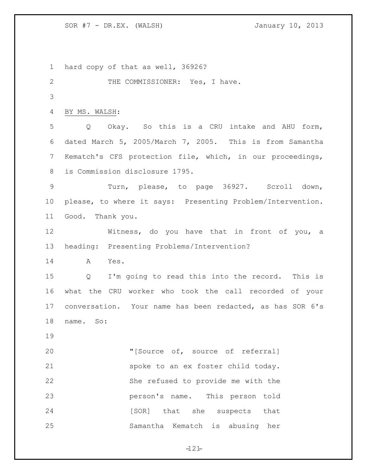hard copy of that as well, 36926? 2 THE COMMISSIONER: Yes, I have. BY MS. WALSH: Q Okay. So this is a CRU intake and AHU form, dated March 5, 2005/March 7, 2005. This is from Samantha Kematch's CFS protection file, which, in our proceedings, is Commission disclosure 1795. Turn, please, to page 36927. Scroll down, please, to where it says: Presenting Problem/Intervention. Good. Thank you. Witness, do you have that in front of you, a heading: Presenting Problems/Intervention? A Yes. Q I'm going to read this into the record. This is what the CRU worker who took the call recorded of your conversation. Your name has been redacted, as has SOR 6's name. So: 20 "[Source of, source of referral] spoke to an ex foster child today. She refused to provide me with the person's name. This person told 24 [SOR] that she suspects that Samantha Kematch is abusing her

 $-121-$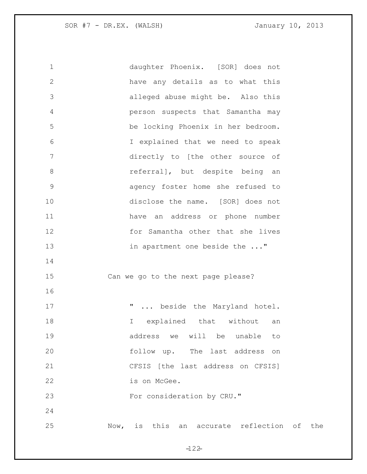| $1\,$         | daughter Phoenix. [SOR] does not                          |           |
|---------------|-----------------------------------------------------------|-----------|
| $\mathbf{2}$  | have any details as to what this                          |           |
| 3             | alleged abuse might be. Also this                         |           |
| 4             | person suspects that Samantha may                         |           |
| 5             | be locking Phoenix in her bedroom.                        |           |
| 6             | I explained that we need to speak                         |           |
| 7             | directly to [the other source of                          |           |
| $\,8\,$       | referral], but despite being an                           |           |
| $\mathcal{G}$ | agency foster home she refused to                         |           |
| 10            | disclose the name. [SOR] does not                         |           |
| 11            | have an address or phone number                           |           |
| 12            | for Samantha other that she lives                         |           |
| 13            | in apartment one beside the "                             |           |
| 14            |                                                           |           |
| 15            | Can we go to the next page please?                        |           |
| 16            |                                                           |           |
| 17            | п.<br>beside the Maryland hotel.                          |           |
| 18            | explained that without<br>I.<br>an                        |           |
| 19            | address we<br>will<br>be unable<br>to                     |           |
| 20            | follow up. The last address<br>on                         |           |
| 21            | CFSIS [the last address on CFSIS]                         |           |
| 22            | is on McGee.                                              |           |
| 23            | For consideration by CRU."                                |           |
| 24            |                                                           |           |
| 25            | accurate reflection<br>$\texttt{Now}$<br>is<br>this<br>an | оf<br>the |

 $-122-$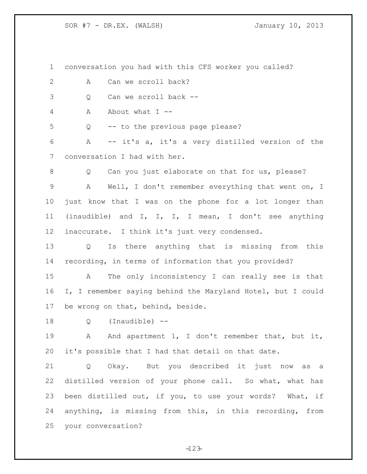conversation you had with this CFS worker you called? 2 A Can we scroll back? Q Can we scroll back -- A About what I -- Q -- to the previous page please? A -- it's a, it's a very distilled version of the conversation I had with her. 8 Q Can you just elaborate on that for us, please? A Well, I don't remember everything that went on, I just know that I was on the phone for a lot longer than (inaudible) and I, I, I, I mean, I don't see anything inaccurate. I think it's just very condensed. Q Is there anything that is missing from this recording, in terms of information that you provided? A The only inconsistency I can really see is that I, I remember saying behind the Maryland Hotel, but I could be wrong on that, behind, beside. Q (Inaudible) -- A And apartment 1, I don't remember that, but it, it's possible that I had that detail on that date. Q Okay. But you described it just now as a distilled version of your phone call. So what, what has been distilled out, if you, to use your words? What, if anything, is missing from this, in this recording, from your conversation?

 $-123-$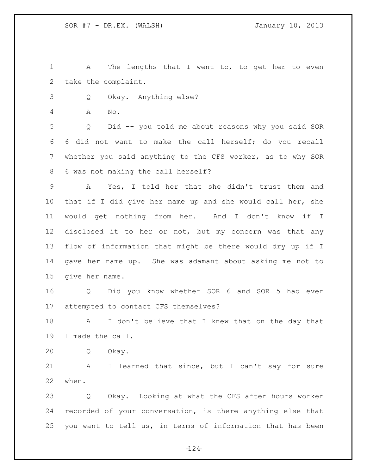1 A The lengths that I went to, to get her to even take the complaint.

Q Okay. Anything else?

A No.

 Q Did -- you told me about reasons why you said SOR 6 did not want to make the call herself; do you recall whether you said anything to the CFS worker, as to why SOR 6 was not making the call herself?

 A Yes, I told her that she didn't trust them and that if I did give her name up and she would call her, she would get nothing from her. And I don't know if I disclosed it to her or not, but my concern was that any flow of information that might be there would dry up if I gave her name up. She was adamant about asking me not to give her name.

 Q Did you know whether SOR 6 and SOR 5 had ever attempted to contact CFS themselves?

 A I don't believe that I knew that on the day that I made the call.

Q Okay.

 A I learned that since, but I can't say for sure when.

 Q Okay. Looking at what the CFS after hours worker recorded of your conversation, is there anything else that you want to tell us, in terms of information that has been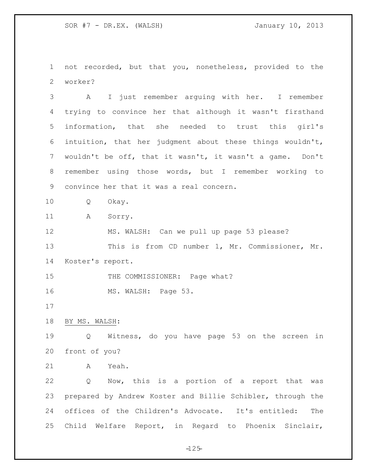not recorded, but that you, nonetheless, provided to the worker?

 A I just remember arguing with her. I remember trying to convince her that although it wasn't firsthand information, that she needed to trust this girl's intuition, that her judgment about these things wouldn't, wouldn't be off, that it wasn't, it wasn't a game. Don't remember using those words, but I remember working to convince her that it was a real concern.

Q Okay.

11 A Sorry.

 MS. WALSH: Can we pull up page 53 please? This is from CD number 1, Mr. Commissioner, Mr. Koster's report.

15 THE COMMISSIONER: Page what?

16 MS. WALSH: Page 53.

BY MS. WALSH:

 Q Witness, do you have page 53 on the screen in front of you?

A Yeah.

 Q Now, this is a portion of a report that was prepared by Andrew Koster and Billie Schibler, through the offices of the Children's Advocate. It's entitled: The Child Welfare Report, in Regard to Phoenix Sinclair,

 $-125 -$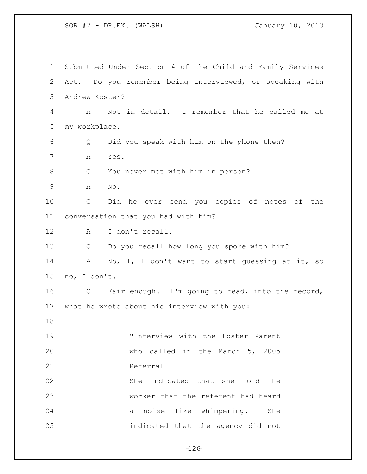Submitted Under Section 4 of the Child and Family Services Act. Do you remember being interviewed, or speaking with Andrew Koster? A Not in detail. I remember that he called me at my workplace. Q Did you speak with him on the phone then? A Yes. Q You never met with him in person? A No. Q Did he ever send you copies of notes of the conversation that you had with him? A I don't recall. Q Do you recall how long you spoke with him? 14 A No, I, I don't want to start quessing at it, so no, I don't. Q Fair enough. I'm going to read, into the record, what he wrote about his interview with you: "Interview with the Foster Parent who called in the March 5, 2005 21 Referral She indicated that she told the worker that the referent had heard a noise like whimpering. She indicated that the agency did not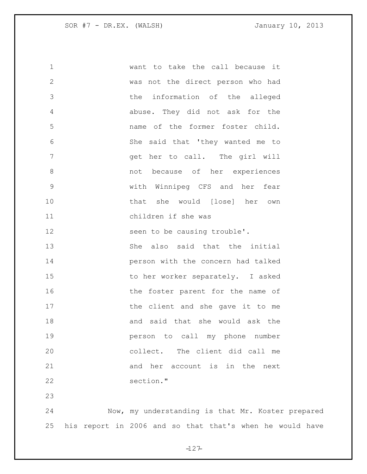want to take the call because it was not the direct person who had the information of the alleged abuse. They did not ask for the name of the former foster child. She said that 'they wanted me to get her to call. The girl will not because of her experiences with Winnipeg CFS and her fear that she would [lose] her own children if she was 12 seen to be causing trouble'. 13 She also said that the initial person with the concern had talked to her worker separately. I asked 16 16 the foster parent for the name of 17 the client and she gave it to me and said that she would ask the person to call my phone number collect. The client did call me 21 and her account is in the next section." Now, my understanding is that Mr. Koster prepared

his report in 2006 and so that that's when he would have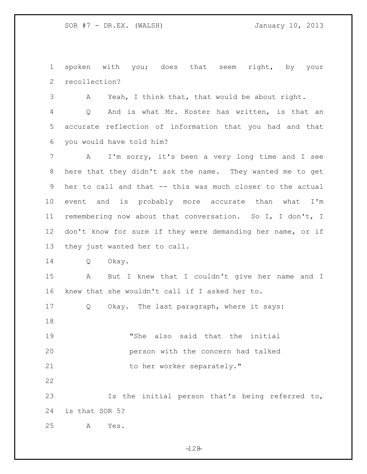spoken with you; does that seem right, by your recollection?

A Yeah, I think that, that would be about right.

 Q And is what Mr. Koster has written, is that an accurate reflection of information that you had and that you would have told him?

 A I'm sorry, it's been a very long time and I see here that they didn't ask the name. They wanted me to get her to call and that -- this was much closer to the actual event and is probably more accurate than what I'm remembering now about that conversation. So I, I don't, I 12 don't know for sure if they were demanding her name, or if they just wanted her to call.

Q Okay.

 A But I knew that I couldn't give her name and I knew that she wouldn't call if I asked her to.

Q Okay. The last paragraph, where it says:

 "She also said that the initial person with the concern had talked 21 to her worker separately."

 Is the initial person that's being referred to, is that SOR 5?

A Yes.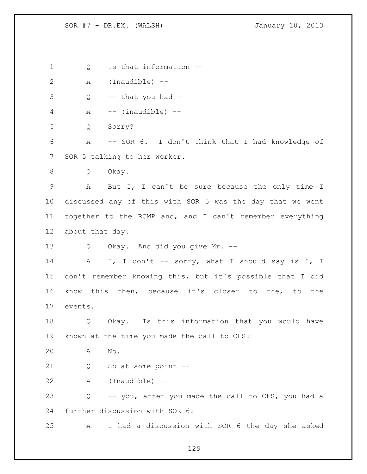Q Is that information -- A (Inaudible) -- Q -- that you had - A -- (inaudible) -- Q Sorry? A -- SOR 6. I don't think that I had knowledge of SOR 5 talking to her worker. Q Okay. A But I, I can't be sure because the only time I discussed any of this with SOR 5 was the day that we went together to the RCMP and, and I can't remember everything about that day. Q Okay. And did you give Mr. -- 14 A I, I don't -- sorry, what I should say is I, I don't remember knowing this, but it's possible that I did know this then, because it's closer to the, to the events. Q Okay. Is this information that you would have known at the time you made the call to CFS? A No. Q So at some point -- A (Inaudible) -- Q -- you, after you made the call to CFS, you had a further discussion with SOR 6? A I had a discussion with SOR 6 the day she asked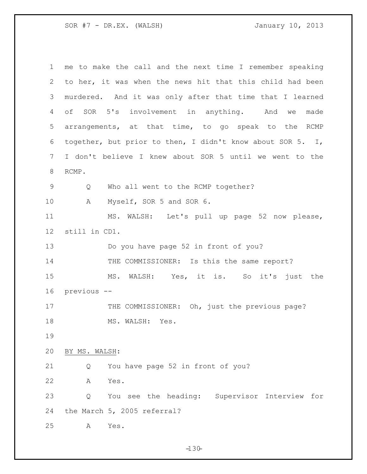| 1              | me to make the call and the next time I remember speaking  |
|----------------|------------------------------------------------------------|
| $\overline{2}$ | to her, it was when the news hit that this child had been  |
| 3              | murdered. And it was only after that time that I learned   |
| 4              | of SOR 5's involvement in anything. And we<br>made         |
| 5              | arrangements, at that time, to go speak to the RCMP        |
| 6              | together, but prior to then, I didn't know about SOR 5. I, |
| 7              | I don't believe I knew about SOR 5 until we went to the    |
| 8              | RCMP.                                                      |
| 9              | Who all went to the RCMP together?<br>Q                    |
| 10             | Myself, SOR 5 and SOR 6.<br>A                              |
| 11             | MS. WALSH: Let's pull up page 52 now please,               |
| 12             | still in CD1.                                              |
| 13             | Do you have page 52 in front of you?                       |
| 14             | THE COMMISSIONER: Is this the same report?                 |
| 15             | MS. WALSH: Yes, it is. So it's just the                    |
| 16             | previous --                                                |
| 17             | THE COMMISSIONER: Oh, just the previous page?              |
| 18             | MS. WALSH: Yes.                                            |
| 19             |                                                            |
| 20             | BY MS. WALSH:                                              |
| 21             | You have page 52 in front of you?<br>Q                     |
| 22             | Yes.<br>Α                                                  |
| 23             | You see the heading: Supervisor Interview for<br>Q         |
| 24             | the March 5, 2005 referral?                                |
| 25             | Yes.<br>Α                                                  |

 $-130 -$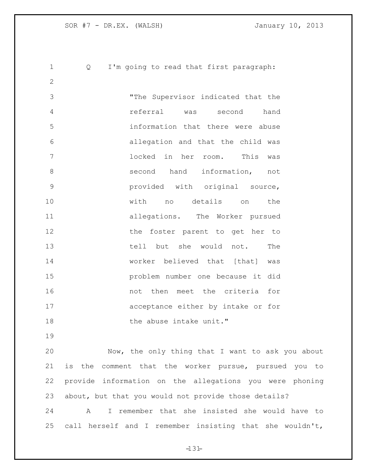Q I'm going to read that first paragraph: "The Supervisor indicated that the referral was second hand information that there were abuse allegation and that the child was locked in her room. This was 8 second hand information, not provided with original source, with no details on the allegations. The Worker pursued 12 the foster parent to get her to tell but she would not. The worker believed that [that] was problem number one because it did not then meet the criteria for acceptance either by intake or for 18 the abuse intake unit."

 Now, the only thing that I want to ask you about is the comment that the worker pursue, pursued you to provide information on the allegations you were phoning about, but that you would not provide those details?

 A I remember that she insisted she would have to call herself and I remember insisting that she wouldn't,

 $-131-$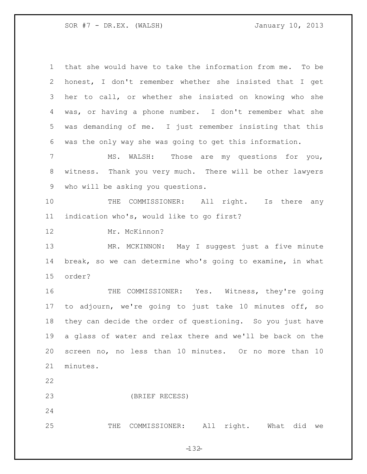| $\mathbf 1$    | that she would have to take the information from me. To be |
|----------------|------------------------------------------------------------|
| $\overline{2}$ | honest, I don't remember whether she insisted that I get   |
| 3              | her to call, or whether she insisted on knowing who she    |
| 4              | was, or having a phone number. I don't remember what she   |
| 5              | was demanding of me. I just remember insisting that this   |
| 6              | was the only way she was going to get this information.    |
| 7              | Those are my questions for you,<br>MS. WALSH:              |
| $\,8\,$        | witness. Thank you very much. There will be other lawyers  |
| 9              | who will be asking you questions.                          |
| 10             | THE COMMISSIONER: All right. Is there any                  |
| 11             | indication who's, would like to go first?                  |
| 12             | Mr. McKinnon?                                              |
| 13             | MR. MCKINNON: May I suggest just a five minute             |
| 14             | break, so we can determine who's going to examine, in what |
| 15             | order?                                                     |
| 16             | THE COMMISSIONER: Yes. Witness, they're going              |
| 17             | to adjourn, we're going to just take 10 minutes off, so    |
| 18             | they can decide the order of questioning. So you just have |
| 19             | a glass of water and relax there and we'll be back on the  |
| 20             | screen no, no less than 10 minutes. Or no more than 10     |
| 21             | minutes.                                                   |
| 22             |                                                            |
| 23             | (BRIEF RECESS)                                             |
| 24             |                                                            |
| 25             | All right. What<br>COMMISSIONER:<br>did we<br>THE          |

 $-132 -$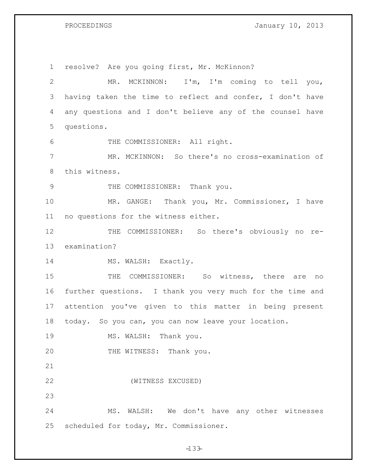PROCEEDINGS **January 10, 2013** 

 resolve? Are you going first, Mr. McKinnon? MR. MCKINNON: I'm, I'm coming to tell you, having taken the time to reflect and confer, I don't have any questions and I don't believe any of the counsel have questions. THE COMMISSIONER: All right. MR. MCKINNON: So there's no cross-examination of this witness. 9 THE COMMISSIONER: Thank you. MR. GANGE: Thank you, Mr. Commissioner, I have no questions for the witness either. 12 THE COMMISSIONER: So there's obviously no re- examination? 14 MS. WALSH: Exactly. 15 THE COMMISSIONER: So witness, there are no further questions. I thank you very much for the time and attention you've given to this matter in being present today. So you can, you can now leave your location. 19 MS. WALSH: Thank you. 20 THE WITNESS: Thank you. (WITNESS EXCUSED) MS. WALSH: We don't have any other witnesses scheduled for today, Mr. Commissioner.

 $-133-$